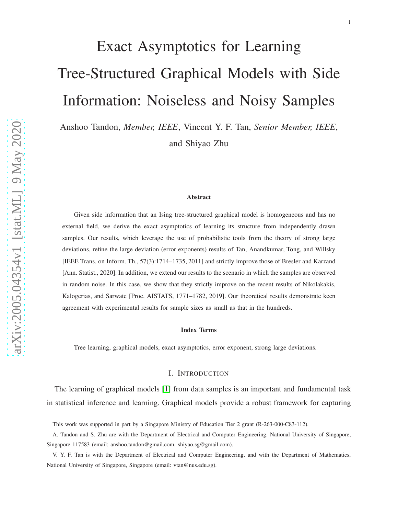# Exact Asymptotics for Learning Tree-Structured Graphical Models with Side Information: Noiseless and Noisy Samples

Anshoo Tandon, *Member, IEEE*, Vincent Y. F. Tan, *Senior Member, IEEE*, and Shiyao Zhu

#### Abstract

Given side information that an Ising tree-structured graphical model is homogeneous and has no external field, we derive the exact asymptotics of learning its structure from independently drawn samples. Our results, which leverage the use of probabilistic tools from the theory of strong large deviations, refine the large deviation (error exponents) results of Tan, Anandkumar, Tong, and Willsky [IEEE Trans. on Inform. Th., 57(3):1714–1735, 2011] and strictly improve those of Bresler and Karzand [Ann. Statist., 2020]. In addition, we extend our results to the scenario in which the samples are observed in random noise. In this case, we show that they strictly improve on the recent results of Nikolakakis, Kalogerias, and Sarwate [Proc. AISTATS, 1771–1782, 2019]. Our theoretical results demonstrate keen agreement with experimental results for sample sizes as small as that in the hundreds.

#### Index Terms

Tree learning, graphical models, exact asymptotics, error exponent, strong large deviations.

#### I. INTRODUCTION

The learning of graphical models [\[1\]](#page-33-0) from data samples is an important and fundamental task in statistical inference and learning. Graphical models provide a robust framework for capturing

This work was supported in part by a Singapore Ministry of Education Tier 2 grant (R-263-000-C83-112).

A. Tandon and S. Zhu are with the Department of Electrical and Computer Engineering, National University of Singapore, Singapore 117583 (email: anshoo.tandon@gmail.com, shiyao.sg@gmail.com).

V. Y. F. Tan is with the Department of Electrical and Computer Engineering, and with the Department of Mathematics, National University of Singapore, Singapore (email: vtan@nus.edu.sg).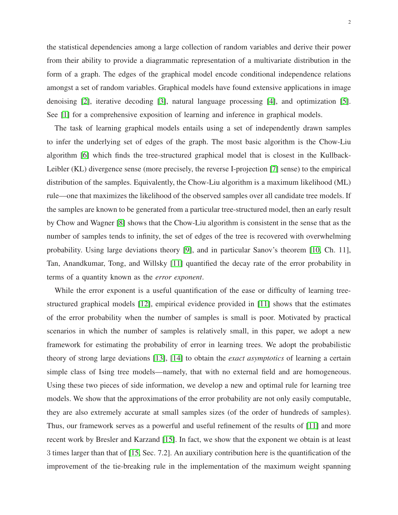the statistical dependencies among a large collection of random variables and derive their power from their ability to provide a diagrammatic representation of a multivariate distribution in the form of a graph. The edges of the graphical model encode conditional independence relations amongst a set of random variables. Graphical models have found extensive applications in image denoising [\[2\]](#page-33-1), iterative decoding [\[3\]](#page-33-2), natural language processing [\[4\]](#page-33-3), and optimization [\[5\]](#page-33-4). See [\[1\]](#page-33-0) for a comprehensive exposition of learning and inference in graphical models.

The task of learning graphical models entails using a set of independently drawn samples to infer the underlying set of edges of the graph. The most basic algorithm is the Chow-Liu algorithm [\[6\]](#page-33-5) which finds the tree-structured graphical model that is closest in the Kullback-Leibler (KL) divergence sense (more precisely, the reverse I-projection [\[7\]](#page-33-6) sense) to the empirical distribution of the samples. Equivalently, the Chow-Liu algorithm is a maximum likelihood (ML) rule—one that maximizes the likelihood of the observed samples over all candidate tree models. If the samples are known to be generated from a particular tree-structured model, then an early result by Chow and Wagner [\[8\]](#page-33-7) shows that the Chow-Liu algorithm is consistent in the sense that as the number of samples tends to infinity, the set of edges of the tree is recovered with overwhelming probability. Using large deviations theory [\[9\]](#page-33-8), and in particular Sanov's theorem [\[10,](#page-33-9) Ch. 11], Tan, Anandkumar, Tong, and Willsky [\[11\]](#page-34-0) quantified the decay rate of the error probability in terms of a quantity known as the *error exponent*.

While the error exponent is a useful quantification of the ease or difficulty of learning treestructured graphical models [\[12\]](#page-34-1), empirical evidence provided in [\[11\]](#page-34-0) shows that the estimates of the error probability when the number of samples is small is poor. Motivated by practical scenarios in which the number of samples is relatively small, in this paper, we adopt a new framework for estimating the probability of error in learning trees. We adopt the probabilistic theory of strong large deviations [\[13\]](#page-34-2), [\[14\]](#page-34-3) to obtain the *exact asymptotics* of learning a certain simple class of Ising tree models—namely, that with no external field and are homogeneous. Using these two pieces of side information, we develop a new and optimal rule for learning tree models. We show that the approximations of the error probability are not only easily computable, they are also extremely accurate at small samples sizes (of the order of hundreds of samples). Thus, our framework serves as a powerful and useful refinement of the results of [\[11\]](#page-34-0) and more recent work by Bresler and Karzand [\[15\]](#page-34-4). In fact, we show that the exponent we obtain is at least 3 times larger than that of [\[15,](#page-34-4) Sec. 7.2]. An auxiliary contribution here is the quantification of the improvement of the tie-breaking rule in the implementation of the maximum weight spanning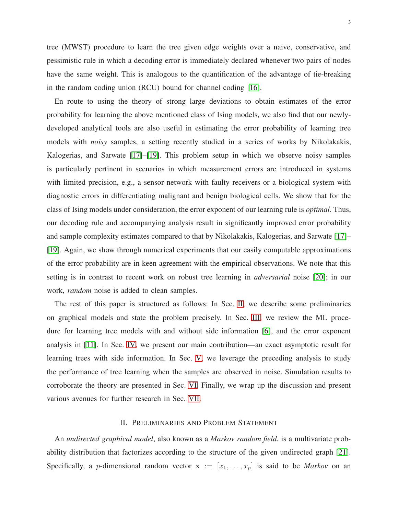tree (MWST) procedure to learn the tree given edge weights over a naïve, conservative, and pessimistic rule in which a decoding error is immediately declared whenever two pairs of nodes have the same weight. This is analogous to the quantification of the advantage of tie-breaking in the random coding union (RCU) bound for channel coding [\[16\]](#page-34-5).

En route to using the theory of strong large deviations to obtain estimates of the error probability for learning the above mentioned class of Ising models, we also find that our newlydeveloped analytical tools are also useful in estimating the error probability of learning tree models with *noisy* samples, a setting recently studied in a series of works by Nikolakakis, Kalogerias, and Sarwate [\[17\]](#page-34-6)–[\[19\]](#page-34-7). This problem setup in which we observe noisy samples is particularly pertinent in scenarios in which measurement errors are introduced in systems with limited precision, e.g., a sensor network with faulty receivers or a biological system with diagnostic errors in differentiating malignant and benign biological cells. We show that for the class of Ising models under consideration, the error exponent of our learning rule is *optimal*. Thus, our decoding rule and accompanying analysis result in significantly improved error probability and sample complexity estimates compared to that by Nikolakakis, Kalogerias, and Sarwate [\[17\]](#page-34-6)– [\[19\]](#page-34-7). Again, we show through numerical experiments that our easily computable approximations of the error probability are in keen agreement with the empirical observations. We note that this setting is in contrast to recent work on robust tree learning in *adversarial* noise [\[20\]](#page-34-8); in our work, *random* noise is added to clean samples.

The rest of this paper is structured as follows: In Sec. [II,](#page-2-0) we describe some preliminaries on graphical models and state the problem precisely. In Sec. [III,](#page-5-0) we review the ML procedure for learning tree models with and without side information [\[6\]](#page-33-5), and the error exponent analysis in [\[11\]](#page-34-0). In Sec. [IV,](#page-8-0) we present our main contribution—an exact asymptotic result for learning trees with side information. In Sec. [V,](#page-11-0) we leverage the preceding analysis to study the performance of tree learning when the samples are observed in noise. Simulation results to corroborate the theory are presented in Sec. [VI.](#page-14-0) Finally, we wrap up the discussion and present various avenues for further research in Sec. [VII.](#page-18-0)

## II. PRELIMINARIES AND PROBLEM STATEMENT

<span id="page-2-0"></span>An *undirected graphical model*, also known as a *Markov random field*, is a multivariate probability distribution that factorizes according to the structure of the given undirected graph [\[21\]](#page-34-9). Specifically, a *p*-dimensional random vector  $x := [x_1, \ldots, x_p]$  is said to be *Markov* on an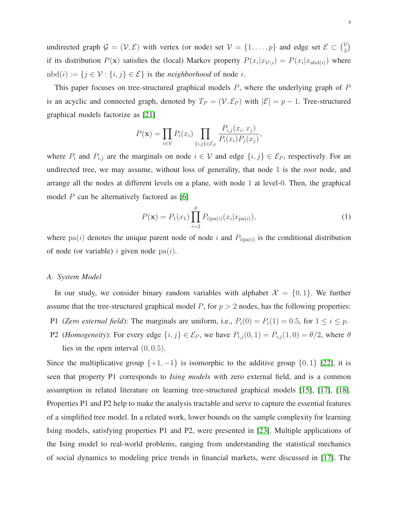undirected graph  $\mathcal{G} = (\mathcal{V}, \mathcal{E})$  with vertex (or node) set  $\mathcal{V} = \{1, ..., p\}$  and edge set  $\mathcal{E} \subset {y \choose 2}$  $\binom{\mathcal{V}}{2}$ if its distribution  $P(\mathbf{x})$  satisfies the (local) Markov property  $P(x_i|x_{\mathcal{V}\setminus i}) = P(x_i|x_{\text{nbd}(i)})$  where  $n\text{bd}(i) := \{j \in \mathcal{V} : \{i, j\} \in \mathcal{E}\}\$ is the *neighborhood* of node i.

This paper focuses on tree-structured graphical models  $P$ , where the underlying graph of  $P$ is an acyclic and connected graph, denoted by  $T_P = (\mathcal{V}, \mathcal{E}_P)$  with  $|\mathcal{E}| = p - 1$ . Tree-structured graphical models factorize as [\[21\]](#page-34-9)

$$
P(\mathbf{x}) = \prod_{i \in \mathcal{V}} P_i(x_i) \prod_{\{i,j\} \in \mathcal{E}_P} \frac{P_{i,j}(x_i, x_j)}{P_i(x_i) P_j(x_j)},
$$

where  $P_i$  and  $P_{i,j}$  are the marginals on node  $i \in V$  and edge  $\{i,j\} \in \mathcal{E}_P$ , respectively. For an undirected tree, we may assume, without loss of generality, that node 1 is the *root* node, and arrange all the nodes at different levels on a plane, with node 1 at level-0. Then, the graphical model  $P$  can be alternatively factored as [\[6\]](#page-33-5)

<span id="page-3-1"></span>
$$
P(\mathbf{x}) = P_1(x_1) \prod_{i=2}^{p} P_{i|pa(i)}(x_i|x_{pa(i)}),
$$
\n(1)

where  $pa(i)$  denotes the unique parent node of node i and  $P_{i|pa(i)}$  is the conditional distribution of node (or variable) i given node  $pa(i)$ .

#### <span id="page-3-0"></span>*A. System Model*

In our study, we consider binary random variables with alphabet  $\mathcal{X} = \{0, 1\}$ . We further assume that the tree-structured graphical model  $P$ , for  $p > 2$  nodes, has the following properties:

- P1 (*Zero external field*): The marginals are uniform, i.e.,  $P_i(0) = P_i(1) = 0.5$ , for  $1 \le i \le p$ .
- P2 (*Homogeneity*): For every edge  $\{i, j\} \in \mathcal{E}_P$ , we have  $P_{i,j}(0, 1) = P_{i,j}(1, 0) = \theta/2$ , where  $\theta$ lies in the open interval  $(0, 0.5)$ .

Since the multiplicative group  $\{+1, -1\}$  is isomorphic to the additive group  $\{0, 1\}$  [\[22\]](#page-34-10), it is seen that property P1 corresponds to *Ising models* with zero external field, and is a common assumption in related literature on learning tree-structured graphical models [\[15\]](#page-34-4), [\[17\]](#page-34-6), [\[18\]](#page-34-11). Properties P1 and P2 help to make the analysis tractable and serve to capture the essential features of a simplified tree model. In a related work, lower bounds on the sample complexity for learning Ising models, satisfying properties P1 and P2, were presented in [\[23\]](#page-34-12). Multiple applications of the Ising model to real-world problems, ranging from understanding the statistical mechanics of social dynamics to modeling price trends in financial markets, were discussed in [\[17\]](#page-34-6). The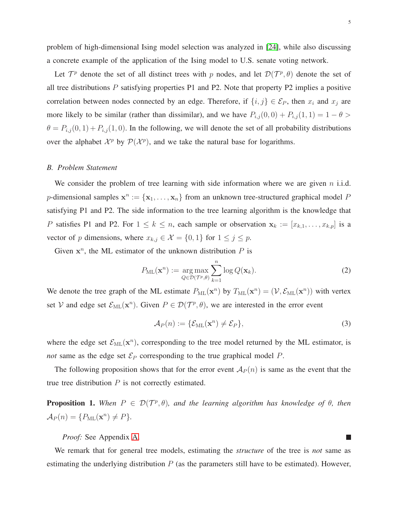problem of high-dimensional Ising model selection was analyzed in [\[24\]](#page-34-13), while also discussing a concrete example of the application of the Ising model to U.S. senate voting network.

Let  $\mathcal{T}^p$  denote the set of all distinct trees with p nodes, and let  $\mathcal{D}(\mathcal{T}^p, \theta)$  denote the set of all tree distributions  $P$  satisfying properties P1 and P2. Note that property P2 implies a positive correlation between nodes connected by an edge. Therefore, if  $\{i, j\} \in \mathcal{E}_P$ , then  $x_i$  and  $x_j$  are more likely to be similar (rather than dissimilar), and we have  $P_{i,j}(0,0) + P_{i,j}(1,1) = 1 - \theta >$  $\theta = P_{i,j}(0,1) + P_{i,j}(1,0)$ . In the following, we will denote the set of all probability distributions over the alphabet  $\mathcal{X}^p$  by  $\mathcal{P}(\mathcal{X}^p)$ , and we take the natural base for logarithms.

#### *B. Problem Statement*

We consider the problem of tree learning with side information where we are given  $n$  i.i.d. p-dimensional samples  $x^n := \{x_1, \ldots, x_n\}$  from an unknown tree-structured graphical model P satisfying P1 and P2. The side information to the tree learning algorithm is the knowledge that P satisfies P1 and P2. For  $1 \le k \le n$ , each sample or observation  $\mathbf{x}_k := [x_{k,1}, \dots, x_{k,p}]$  is a vector of p dimensions, where  $x_{k,j} \in \mathcal{X} = \{0,1\}$  for  $1 \leq j \leq p$ .

Given  $x^n$ , the ML estimator of the unknown distribution  $P$  is

<span id="page-4-0"></span>
$$
P_{\text{ML}}(\mathbf{x}^n) := \underset{Q \in \mathcal{D}(\mathcal{T}^p, \theta)}{\arg \max} \sum_{k=1}^n \log Q(\mathbf{x}_k). \tag{2}
$$

We denote the tree graph of the ML estimate  $P_{ML}(\mathbf{x}^n)$  by  $T_{ML}(\mathbf{x}^n) = (\mathcal{V}, \mathcal{E}_{ML}(\mathbf{x}^n))$  with vertex set V and edge set  $\mathcal{E}_{ML}(\mathbf{x}^n)$ . Given  $P \in \mathcal{D}(\mathcal{T}^p, \theta)$ , we are interested in the error event

<span id="page-4-2"></span>
$$
\mathcal{A}_P(n) := \{ \mathcal{E}_{\text{ML}}(\mathbf{x}^n) \neq \mathcal{E}_P \},\tag{3}
$$

where the edge set  $\mathcal{E}_{ML}(\mathbf{x}^n)$ , corresponding to the tree model returned by the ML estimator, is *not* same as the edge set  $\mathcal{E}_P$  corresponding to the true graphical model  $P$ .

The following proposition shows that for the error event  $A_P(n)$  is same as the event that the true tree distribution  $P$  is not correctly estimated.

<span id="page-4-1"></span>**Proposition 1.** When  $P \in \mathcal{D}(\mathcal{T}^p, \theta)$ , and the learning algorithm has knowledge of  $\theta$ , then  $\mathcal{A}_P(n) = \{P_{\text{ML}}(\mathbf{x}^n) \neq P\}.$ 

*Proof:* See Appendix [A.](#page-18-1)

We remark that for general tree models, estimating the *structure* of the tree is *not* same as estimating the underlying distribution  $P$  (as the parameters still have to be estimated). However,

 $\mathbb{R}^n$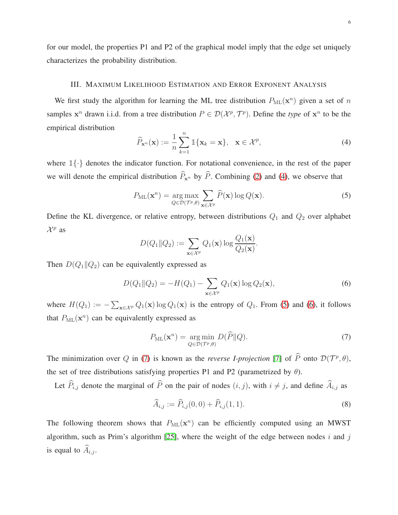<span id="page-5-0"></span>for our model, the properties P1 and P2 of the graphical model imply that the edge set uniquely characterizes the probability distribution.

#### III. MAXIMUM LIKELIHOOD ESTIMATION AND ERROR EXPONENT ANALYSIS

We first study the algorithm for learning the ML tree distribution  $P_{ML}(\mathbf{x}^n)$  given a set of n samples  $x^n$  drawn i.i.d. from a tree distribution  $P \in \mathcal{D}(\mathcal{X}^p, \mathcal{T}^p)$ . Define the *type* of  $x^n$  to be the empirical distribution

<span id="page-5-1"></span>
$$
\widehat{P}_{\mathbf{x}^n}(\mathbf{x}) := \frac{1}{n} \sum_{k=1}^n \mathbb{1}\{\mathbf{x}_k = \mathbf{x}\}, \quad \mathbf{x} \in \mathcal{X}^p,
$$
\n(4)

where  $\mathbb{1}\{\cdot\}$  denotes the indicator function. For notational convenience, in the rest of the paper we will denote the empirical distribution  $\hat{P}_{\mathbf{x}^n}$  by  $\hat{P}$ . Combining [\(2\)](#page-4-0) and [\(4\)](#page-5-1), we observe that

<span id="page-5-2"></span>
$$
P_{\mathrm{ML}}(\mathbf{x}^n) = \underset{Q \in \mathcal{D}(\mathcal{T}^p, \theta)}{\mathrm{arg\,max}} \sum_{\mathbf{x} \in \mathcal{X}^p} \widehat{P}(\mathbf{x}) \log Q(\mathbf{x}).\tag{5}
$$

Define the KL divergence, or relative entropy, between distributions  $Q_1$  and  $Q_2$  over alphabet  $\mathcal{X}^p$  as

$$
D(Q_1||Q_2) := \sum_{\mathbf{x} \in \mathcal{X}^p} Q_1(\mathbf{x}) \log \frac{Q_1(\mathbf{x})}{Q_2(\mathbf{x})}.
$$

Then  $D(Q_1||Q_2)$  can be equivalently expressed as

<span id="page-5-3"></span>
$$
D(Q_1||Q_2) = -H(Q_1) - \sum_{\mathbf{x} \in \mathcal{X}^p} Q_1(\mathbf{x}) \log Q_2(\mathbf{x}),\tag{6}
$$

where  $H(Q_1) := -\sum_{\mathbf{x} \in \mathcal{X}^p} Q_1(\mathbf{x}) \log Q_1(\mathbf{x})$  is the entropy of  $Q_1$ . From [\(5\)](#page-5-2) and [\(6\)](#page-5-3), it follows that  $P_{ML}(\mathbf{x}^n)$  can be equivalently expressed as

<span id="page-5-4"></span>
$$
P_{\text{ML}}(\mathbf{x}^n) = \underset{Q \in \mathcal{D}(\mathcal{T}^p, \theta)}{\arg \min} D(\widehat{P} \| Q). \tag{7}
$$

The minimization over Q in [\(7\)](#page-5-4) is known as the *reverse I-projection* [\[7\]](#page-33-6) of  $\tilde{P}$  onto  $\mathcal{D}(\mathcal{T}^p, \theta)$ , the set of tree distributions satisfying properties P1 and P2 (parametrized by  $\theta$ ).

Let  $\widehat{P}_{i,j}$  denote the marginal of  $\widehat{P}$  on the pair of nodes  $(i, j)$ , with  $i \neq j$ , and define  $\widehat{A}_{i,j}$  as

<span id="page-5-5"></span>
$$
\widehat{A}_{i,j} := \widehat{P}_{i,j}(0,0) + \widehat{P}_{i,j}(1,1).
$$
\n(8)

The following theorem shows that  $P_{ML}(\mathbf{x}^n)$  can be efficiently computed using an MWST algorithm, such as Prim's algorithm [\[25\]](#page-34-14), where the weight of the edge between nodes  $i$  and  $j$ is equal to  $\widehat{A}_{i,j}$ .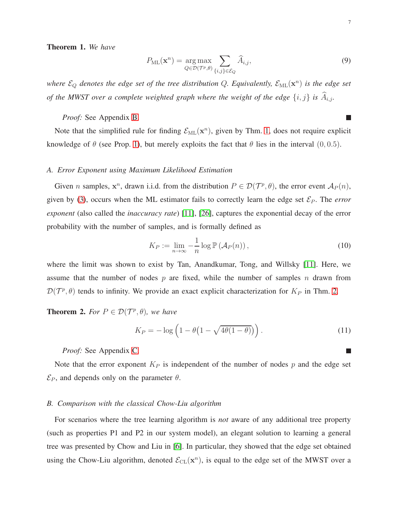<span id="page-6-0"></span>Theorem 1. *We have*

$$
P_{\mathrm{ML}}(\mathbf{x}^n) = \underset{Q \in \mathcal{D}(\mathcal{T}^p, \theta)}{\mathrm{arg\,max}} \sum_{\{i,j\} \in \mathcal{E}_Q} \widehat{A}_{i,j},\tag{9}
$$

where  $\mathcal{E}_Q$  denotes the edge set of the tree distribution  $Q$ . Equivalently,  $\mathcal{E}_{\text{ML}}(\mathbf{x}^n)$  is the edge set *of the MWST over a complete weighted graph where the weight of the edge*  $\{i, j\}$  *is*  $\widehat{A}_{i,j}$ *.* 

*Proof:* See Appendix [B.](#page-19-0)

Note that the simplified rule for finding  $\mathcal{E}_{ML}(\mathbf{x}^n)$ , given by Thm. [1,](#page-6-0) does not require explicit knowledge of  $\theta$  (see Prop. [1\)](#page-4-1), but merely exploits the fact that  $\theta$  lies in the interval (0, 0.5).

#### *A. Error Exponent using Maximum Likelihood Estimation*

Given *n* samples,  $x^n$ , drawn i.i.d. from the distribution  $P \in \mathcal{D}(\mathcal{T}^p, \theta)$ , the error event  $\mathcal{A}_P(n)$ , given by [\(3\)](#page-4-2), occurs when the ML estimator fails to correctly learn the edge set  $\mathcal{E}_P$ . The *error exponent* (also called the *inaccuracy rate*) [\[11\]](#page-34-0), [\[26\]](#page-34-15), captures the exponential decay of the error probability with the number of samples, and is formally defined as

$$
K_P := \lim_{n \to \infty} -\frac{1}{n} \log \mathbb{P} \left( \mathcal{A}_P(n) \right),\tag{10}
$$

where the limit was shown to exist by Tan, Anandkumar, Tong, and Willsky [\[11\]](#page-34-0). Here, we assume that the number of nodes  $p$  are fixed, while the number of samples  $n$  drawn from  $\mathcal{D}(\mathcal{T}^p, \theta)$  tends to infinity. We provide an exact explicit characterization for  $K_P$  in Thm. [2.](#page-6-1)

<span id="page-6-1"></span>**Theorem 2.** For  $P \in \mathcal{D}(\mathcal{T}^p, \theta)$ , we have

<span id="page-6-2"></span>
$$
K_P = -\log\left(1 - \theta\left(1 - \sqrt{4\theta(1-\theta)}\right)\right). \tag{11}
$$

*Proof:* See Appendix [C.](#page-20-0)

Note that the error exponent  $K_P$  is independent of the number of nodes  $p$  and the edge set  $\mathcal{E}_P$ , and depends only on the parameter  $\theta$ .

## *B. Comparison with the classical Chow-Liu algorithm*

For scenarios where the tree learning algorithm is *not* aware of any additional tree property (such as properties P1 and P2 in our system model), an elegant solution to learning a general tree was presented by Chow and Liu in [\[6\]](#page-33-5). In particular, they showed that the edge set obtained using the Chow-Liu algorithm, denoted  $\mathcal{E}_{CL}(\mathbf{x}^n)$ , is equal to the edge set of the MWST over a

 $\mathcal{L}_{\mathcal{A}}$ 

П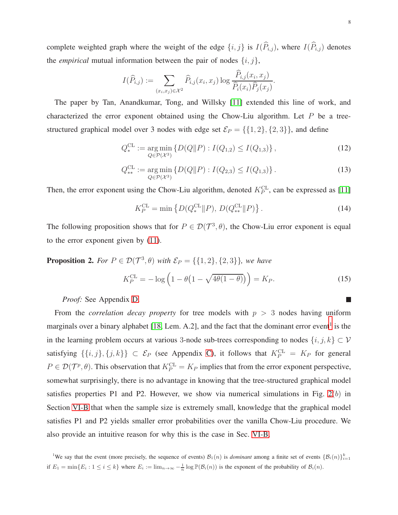complete weighted graph where the weight of the edge  $\{i, j\}$  is  $I(\widehat{P}_{i,j})$ , where  $I(\widehat{P}_{i,j})$  denotes the *empirical* mutual information between the pair of nodes  $\{i, j\}$ ,

$$
I(\widehat{P}_{i,j}) := \sum_{(x_i,x_j)\in\mathcal{X}^2} \widehat{P}_{i,j}(x_i,x_j) \log \frac{\widehat{P}_{i,j}(x_i,x_j)}{\widehat{P}_i(x_i)\widehat{P}_j(x_j)}.
$$

The paper by Tan, Anandkumar, Tong, and Willsky [\[11\]](#page-34-0) extended this line of work, and characterized the error exponent obtained using the Chow-Liu algorithm. Let  $P$  be a treestructured graphical model over 3 nodes with edge set  $\mathcal{E}_P = \{\{1, 2\}, \{2, 3\}\}\$ , and define

$$
Q_*^{\text{CL}} := \underset{Q \in \mathcal{P}(\mathcal{X}^3)}{\text{arg min}} \left\{ D(Q \| P) : I(Q_{1,2}) \le I(Q_{1,3}) \right\},\tag{12}
$$

$$
Q_{**}^{\text{CL}} := \underset{Q \in \mathcal{P}(\mathcal{X}^3)}{\text{arg min}} \left\{ D(Q \| P) : I(Q_{2,3}) \le I(Q_{1,3}) \right\}. \tag{13}
$$

Then, the error exponent using the Chow-Liu algorithm, denoted  $K_P^{\text{CL}}$ , can be expressed as [\[11\]](#page-34-0)

<span id="page-7-3"></span><span id="page-7-2"></span>
$$
K_P^{\text{CL}} = \min \left\{ D(Q_*^{\text{CL}} \| P), D(Q_{**}^{\text{CL}} \| P) \right\}. \tag{14}
$$

The following proposition shows that for  $P \in \mathcal{D}(\mathcal{T}^3, \theta)$ , the Chow-Liu error exponent is equal to the error exponent given by [\(11\)](#page-6-2).

<span id="page-7-1"></span>**Proposition 2.** For  $P \in \mathcal{D}(\mathcal{T}^3, \theta)$  with  $\mathcal{E}_P = \{\{1, 2\}, \{2, 3\}\}\$ , we have

<span id="page-7-4"></span>
$$
K_P^{\text{CL}} = -\log\left(1 - \theta\left(1 - \sqrt{4\theta(1-\theta)}\right)\right) = K_P. \tag{15}
$$

*Proof:* See Appendix [D.](#page-22-0)

From the *correlation decay property* for tree models with  $p > 3$  nodes having uniform marginals over a binary alphabet [\[18,](#page-34-11) Lem. A.2], and the fact that the dominant error event<sup>[1](#page-7-0)</sup> is the in the learning problem occurs at various 3-node sub-trees corresponding to nodes  $\{i, j, k\} \subset \mathcal{V}$ satisfying  $\{\{i, j\}, \{j, k\}\}\subset \mathcal{E}_P$  (see Appendix [C\)](#page-20-0), it follows that  $K_P^{\text{CL}} = K_P$  for general  $P \in \mathcal{D}(\mathcal{T}^p, \theta)$ . This observation that  $K_P^{\text{CL}} = K_P$  implies that from the error exponent perspective, somewhat surprisingly, there is no advantage in knowing that the tree-structured graphical model satisfies properties P1 and P2. However, we show via numerical simulations in Fig.  $2(b)$  in Section [VI-B](#page-15-0) that when the sample size is extremely small, knowledge that the graphical model satisfies P1 and P2 yields smaller error probabilities over the vanilla Chow-Liu procedure. We also provide an intuitive reason for why this is the case in Sec. [VI-B.](#page-15-0)

<span id="page-7-0"></span><sup>&</sup>lt;sup>1</sup>We say that the event (more precisely, the sequence of events)  $\mathcal{B}_1(n)$  is *dominant* among a finite set of events  $\{\mathcal{B}_i(n)\}_{i=1}^k$ if  $E_1 = \min\{E_i : 1 \le i \le k\}$  where  $E_i := \lim_{n \to \infty} -\frac{1}{n} \log \mathbb{P}(\mathcal{B}_i(n))$  is the exponent of the probability of  $\mathcal{B}_i(n)$ .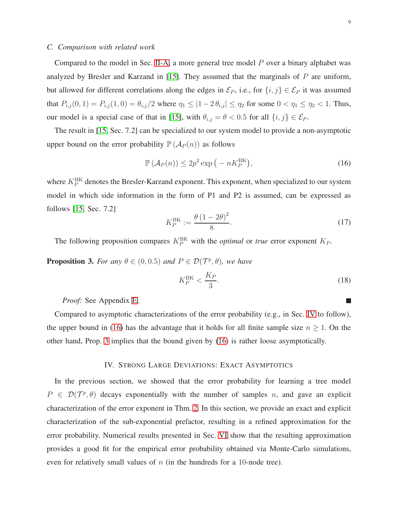m.

# *C. Comparison with related work*

Compared to the model in Sec. [II-A,](#page-3-0) a more general tree model  $P$  over a binary alphabet was analyzed by Bresler and Karzand in [\[15\]](#page-34-4). They assumed that the marginals of  $P$  are uniform, but allowed for different correlations along the edges in  $\mathcal{E}_P$ , i.e., for  $\{i, j\} \in \mathcal{E}_P$  it was assumed that  $P_{i,j}(0,1) = P_{i,j}(1,0) = \theta_{i,j}/2$  where  $\eta_1 \leq |1-2\theta_{i,j}| \leq \eta_2$  for some  $0 < \eta_1 \leq \eta_2 < 1$ . Thus, our model is a special case of that in [\[15\]](#page-34-4), with  $\theta_{i,j} = \theta < 0.5$  for all  $\{i, j\} \in \mathcal{E}_P$ .

The result in [\[15,](#page-34-4) Sec. 7.2] can be specialized to our system model to provide a non-asymptotic upper bound on the error probability  $\mathbb{P}(\mathcal{A}_P(n))$  as follows

<span id="page-8-1"></span>
$$
\mathbb{P}\left(\mathcal{A}_P(n)\right) \le 2p^2 \exp\left(-nK_P^{\text{BK}}\right),\tag{16}
$$

where  $K_P^{\text{BK}}$  denotes the Bresler-Karzand exponent. This exponent, when specialized to our system model in which side information in the form of P1 and P2 is assumed, can be expressed as follows [\[15,](#page-34-4) Sec. 7.2]

<span id="page-8-3"></span>
$$
K_P^{\text{BK}} := \frac{\theta (1 - 2\theta)^2}{8}.
$$
\n(17)

The following proposition compares  $K_P^{\text{BK}}$  with the *optimal* or *true* error exponent  $K_P$ .

<span id="page-8-2"></span>**Proposition 3.** For any  $\theta \in (0, 0.5)$  and  $P \in \mathcal{D}(\mathcal{T}^p, \theta)$ , we have

$$
K_P^{\text{BK}} < \frac{K_P}{3}.\tag{18}
$$

*Proof:* See Appendix [E.](#page-23-0)

Compared to asymptotic characterizations of the error probability (e.g., in Sec. [IV](#page-8-0) to follow), the upper bound in [\(16\)](#page-8-1) has the advantage that it holds for all finite sample size  $n \geq 1$ . On the other hand, Prop. [3](#page-8-2) implies that the bound given by [\(16\)](#page-8-1) is rather loose asymptotically.

## IV. STRONG LARGE DEVIATIONS: EXACT ASYMPTOTICS

<span id="page-8-0"></span>In the previous section, we showed that the error probability for learning a tree model  $P \in \mathcal{D}(\mathcal{T}^p, \theta)$  decays exponentially with the number of samples n, and gave an explicit characterization of the error exponent in Thm. [2.](#page-6-1) In this section, we provide an exact and explicit characterization of the sub-exponential prefactor, resulting in a refined approximation for the error probability. Numerical results presented in Sec. [VI](#page-14-0) show that the resulting approximation provides a good fit for the empirical error probability obtained via Monte-Carlo simulations, even for relatively small values of  $n$  (in the hundreds for a 10-node tree).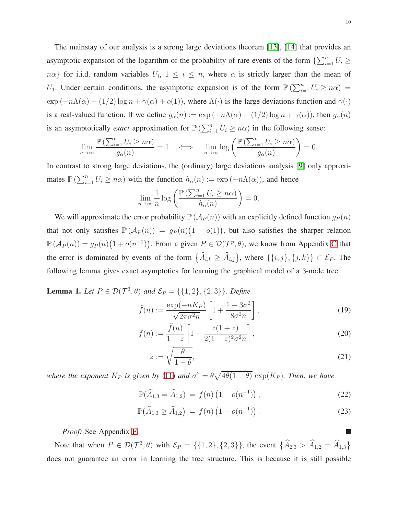The mainstay of our analysis is a strong large deviations theorem [\[13\]](#page-34-2), [\[14\]](#page-34-3) that provides an asymptotic expansion of the logarithm of the probability of rare events of the form  $\{\sum_{i=1}^{n} U_i \geq 1\}$  $n\alpha$ } for i.i.d. random variables  $U_i$ ,  $1 \leq i \leq n$ , where  $\alpha$  is strictly larger than the mean of U<sub>1</sub>. Under certain conditions, the asymptotic expansion is of the form  $\mathbb{P}\left(\sum_{i=1}^n U_i \geq n\alpha\right) =$  $\exp(-n\Lambda(\alpha) - (1/2) \log n + \gamma(\alpha) + o(1))$ , where  $\Lambda(\cdot)$  is the large deviations function and  $\gamma(\cdot)$ is a real-valued function. If we define  $g_{\alpha}(n) := \exp(-n\Lambda(\alpha) - (1/2) \log n + \gamma(\alpha))$ , then  $g_{\alpha}(n)$ is an asymptotically *exact* approximation for  $\mathbb{P}(\sum_{i=1}^n U_i \geq n\alpha)$  in the following sense:

$$
\lim_{n \to \infty} \frac{\mathbb{P}\left(\sum_{i=1}^{n} U_i \ge n\alpha\right)}{g_\alpha(n)} = 1 \quad \Longleftrightarrow \quad \lim_{n \to \infty} \log \left(\frac{\mathbb{P}\left(\sum_{i=1}^{n} U_i \ge n\alpha\right)}{g_\alpha(n)}\right) = 0.
$$

In contrast to strong large deviations, the (ordinary) large deviations analysis [\[9\]](#page-33-8) only approximates  $\mathbb{P}\left(\sum_{i=1}^n U_i \geq n\alpha\right)$  with the function  $h_\alpha(n) := \exp(-n\Lambda(\alpha))$ , and hence

$$
\lim_{n \to \infty} \frac{1}{n} \log \left( \frac{\mathbb{P} \left( \sum_{i=1}^{n} U_i \ge n\alpha \right)}{h_\alpha(n)} \right) = 0.
$$

We will approximate the error probability  $\mathbb{P}(\mathcal{A}_P(n))$  with an explicitly defined function  $g_P(n)$ that not only satisfies  $\mathbb{P}(\mathcal{A}_P(n)) = g_P(n)(1 + o(1))$ , but also satisfies the sharper relation  $\mathbb{P}(\mathcal{A}_P(n)) = g_P(n)(1 + o(n^{-1}))$ . From a given  $P \in \mathcal{D}(\mathcal{T}^p, \theta)$ , we know from Appendix [C](#page-20-0) that the error is dominated by events of the form  $\{\widehat{A}_{i,k} \geq \widehat{A}_{i,j}\}\)$ , where  $\{\{i,j\},\{j,k\}\}\subset \mathcal{E}_P$ . The following lemma gives exact asymptotics for learning the graphical model of a 3-node tree.

<span id="page-9-3"></span>**Lemma 1.** *Let*  $P \in \mathcal{D}(\mathcal{T}^3, \theta)$  *and*  $\mathcal{E}_P = \{\{1, 2\}, \{2, 3\}\}\$ *. Define* 

$$
\tilde{f}(n) := \frac{\exp(-nK_P)}{\sqrt{2\pi\sigma^2 n}} \left[ 1 + \frac{1 - 3\sigma^2}{8\sigma^2 n} \right],\tag{19}
$$

$$
f(n) := \frac{\tilde{f}(n)}{1 - z} \left[ 1 - \frac{z(1+z)}{2(1-z)^2 \sigma^2 n} \right],
$$
\n(20)

$$
z := \sqrt{\frac{\theta}{1 - \theta}},\tag{21}
$$

*where the exponent*  $K_P$  *is given by* [\(11\)](#page-6-2) *and*  $\sigma^2 = \theta \sqrt{4\theta(1-\theta)} \exp(K_P)$ *. Then, we have* 

$$
\mathbb{P}(\widehat{A}_{1,3} = \widehat{A}_{1,2}) = \tilde{f}(n) \left(1 + o(n^{-1})\right),\tag{22}
$$

$$
\mathbb{P}(\widehat{A}_{1,3} \ge \widehat{A}_{1,2}) = f(n) \left(1 + o(n^{-1})\right). \tag{23}
$$

*Proof:* See Appendix [F.](#page-23-1)

Note that when  $P \in \mathcal{D}(\mathcal{T}^3, \theta)$  with  $\mathcal{E}_P = \{\{1, 2\}, \{2, 3\}\}\$ , the event  $\{\widehat{A}_{2,3} > \widehat{A}_{1,2} = \widehat{A}_{1,3}\}$ does not guarantee an error in learning the tree structure. This is because it is still possible

<span id="page-9-4"></span><span id="page-9-2"></span><span id="page-9-1"></span><span id="page-9-0"></span> $\overline{\phantom{a}}$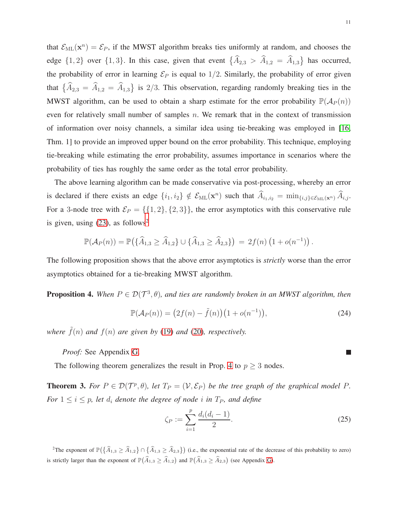that  $\mathcal{E}_{ML}(\mathbf{x}^n) = \mathcal{E}_P$ , if the MWST algorithm breaks ties uniformly at random, and chooses the edge  $\{1,2\}$  over  $\{1,3\}$ . In this case, given that event  $\{\widehat{A}_{2,3} > \widehat{A}_{1,2} = \widehat{A}_{1,3}\}\)$  has occurred, the probability of error in learning  $\mathcal{E}_P$  is equal to 1/2. Similarly, the probability of error given that  $\{\widehat{A}_{2,3} = \widehat{A}_{1,2} = \widehat{A}_{1,3}\}$  is 2/3. This observation, regarding randomly breaking ties in the MWST algorithm, can be used to obtain a sharp estimate for the error probability  $\mathbb{P}(\mathcal{A}_P(n))$ even for relatively small number of samples n. We remark that in the context of transmission of information over noisy channels, a similar idea using tie-breaking was employed in [\[16,](#page-34-5) Thm. 1] to provide an improved upper bound on the error probability. This technique, employing tie-breaking while estimating the error probability, assumes importance in scenarios where the probability of ties has roughly the same order as the total error probability.

The above learning algorithm can be made conservative via post-processing, whereby an error is declared if there exists an edge  $\{i_1, i_2\} \notin \mathcal{E}_{ML}(\mathbf{x}^n)$  such that  $\hat{A}_{i_1, i_2} = \min_{\{i, j\} \in \mathcal{E}_{ML}(\mathbf{x}^n)} \hat{A}_{i, j}$ . For a 3-node tree with  $\mathcal{E}_P = \{\{1, 2\}, \{2, 3\}\}\$ , the error asymptotics with this conservative rule is given, using  $(23)$  $(23)$  $(23)$ , as follows<sup>2</sup>

$$
\mathbb{P}(\mathcal{A}_P(n)) = \mathbb{P}(\{\widehat{A}_{1,3} \ge \widehat{A}_{1,2}\} \cup \{\widehat{A}_{1,3} \ge \widehat{A}_{2,3}\}) = 2f(n) (1 + o(n^{-1})).
$$

The following proposition shows that the above error asymptotics is *strictly* worse than the error asymptotics obtained for a tie-breaking MWST algorithm.

<span id="page-10-1"></span>**Proposition 4.** When  $P \in \mathcal{D}(\mathcal{T}^3, \theta)$ , and ties are randomly broken in an MWST algorithm, then

$$
\mathbb{P}(\mathcal{A}_P(n)) = (2f(n) - \tilde{f}(n))(1 + o(n^{-1})),\tag{24}
$$

*where*  $\tilde{f}(n)$  *and*  $f(n)$  *are given by* [\(19\)](#page-9-1) *and* [\(20\)](#page-9-2)*, respectively.* 

*Proof:* See Appendix [G.](#page-25-0)

The following theorem generalizes the result in Prop. [4](#page-10-1) to  $p \geq 3$  nodes.

<span id="page-10-2"></span>**Theorem 3.** For  $P \in \mathcal{D}(\mathcal{T}^p, \theta)$ , let  $T_P = (\mathcal{V}, \mathcal{E}_P)$  be the tree graph of the graphical model P. *For*  $1 \leq i \leq p$ *, let*  $d_i$  *denote the degree of node i in*  $T_P$ *, and define* 

<span id="page-10-3"></span>
$$
\zeta_P := \sum_{i=1}^p \frac{d_i(d_i - 1)}{2}.
$$
\n(25)

<span id="page-10-0"></span><sup>2</sup>The exponent of  $\mathbb{P}(\{\widehat{A}_{1,3} \geq \widehat{A}_{1,2}\} \cap \{\widehat{A}_{1,3} \geq \widehat{A}_{2,3}\})$  (i.e., the exponential rate of the decrease of this probability to zero) is strictly larger than the exponent of  $\mathbb{P}(\widehat{A}_{1,3} \ge \widehat{A}_{1,2})$  and  $\mathbb{P}(\widehat{A}_{1,3} \ge \widehat{A}_{2,3})$  (see Appendix [G\)](#page-25-0).

 $\Box$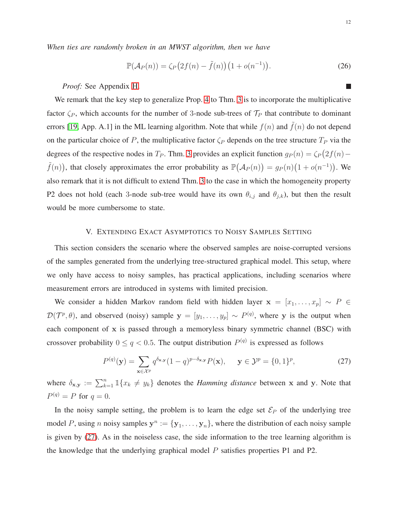*When ties are randomly broken in an MWST algorithm, then we have*

<span id="page-11-2"></span>
$$
\mathbb{P}(\mathcal{A}_P(n)) = \zeta_P\big(2f(n) - \tilde{f}(n)\big)\big(1 + o(n^{-1})\big). \tag{26}
$$

## *Proof:* See Appendix [H.](#page-26-0)

We remark that the key step to generalize Prop. [4](#page-10-1) to Thm. [3](#page-10-2) is to incorporate the multiplicative factor  $\zeta_P$ , which accounts for the number of 3-node sub-trees of  $\mathcal{T}_P$  that contribute to dominant errors [\[19,](#page-34-7) App. A.1] in the ML learning algorithm. Note that while  $f(n)$  and  $\tilde{f}(n)$  do not depend on the particular choice of P, the multiplicative factor  $\zeta_P$  depends on the tree structure  $T_P$  via the degrees of the respective nodes in  $T_P$ . Thm. [3](#page-10-2) provides an explicit function  $g_P(n) = \zeta_P(2f(n) \tilde{f}(n)$ , that closely approximates the error probability as  $\mathbb{P}(\mathcal{A}_P(n)) = g_P(n)(1 + o(n^{-1}))$ . We also remark that it is not difficult to extend Thm. [3](#page-10-2) to the case in which the homogeneity property P2 does not hold (each 3-node sub-tree would have its own  $\theta_{i,j}$  and  $\theta_{j,k}$ ), but then the result would be more cumbersome to state.

## V. EXTENDING EXACT ASYMPTOTICS TO NOISY SAMPLES SETTING

<span id="page-11-0"></span>This section considers the scenario where the observed samples are noise-corrupted versions of the samples generated from the underlying tree-structured graphical model. This setup, where we only have access to noisy samples, has practical applications, including scenarios where measurement errors are introduced in systems with limited precision.

We consider a hidden Markov random field with hidden layer  $x = [x_1, \ldots, x_p] \sim P \in$  $\mathcal{D}(\mathcal{T}^p, \theta)$ , and observed (noisy) sample  $\mathbf{y} = [y_1, \dots, y_p] \sim P^{(q)}$ , where y is the output when each component of x is passed through a memoryless binary symmetric channel (BSC) with crossover probability  $0 \le q < 0.5$ . The output distribution  $P^{(q)}$  is expressed as follows

<span id="page-11-1"></span>
$$
P^{(q)}(\mathbf{y}) = \sum_{\mathbf{x} \in \mathcal{X}^p} q^{\delta_{\mathbf{x},\mathbf{y}}}(1-q)^{p-\delta_{\mathbf{x},\mathbf{y}}} P(\mathbf{x}), \quad \mathbf{y} \in \mathcal{Y}^p = \{0,1\}^p,
$$
 (27)

where  $\delta_{\mathbf{x},\mathbf{y}} := \sum_{k=1}^n \mathbb{1}\{x_k \neq y_k\}$  denotes the *Hamming distance* between x and y. Note that  $P^{(q)} = P$  for  $q = 0$ .

In the noisy sample setting, the problem is to learn the edge set  $\mathcal{E}_P$  of the underlying tree model P, using n noisy samples  $y^n := {y_1, \ldots, y_n}$ , where the distribution of each noisy sample is given by [\(27\)](#page-11-1). As in the noiseless case, the side information to the tree learning algorithm is the knowledge that the underlying graphical model  $P$  satisfies properties P1 and P2.

m.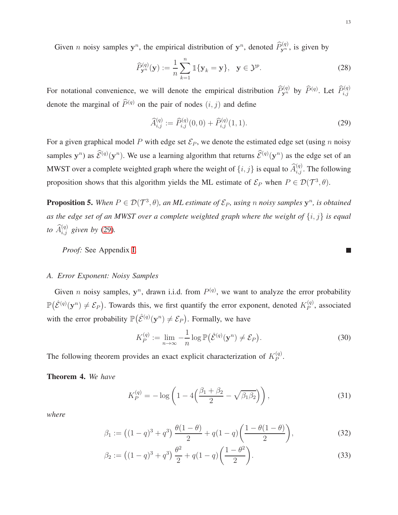Given *n* noisy samples  $y^n$ , the empirical distribution of  $y^n$ , denoted  $\widehat{P}_{y^n}^{(q)}$ , is given by

$$
\widehat{P}_{\mathbf{y}^n}^{(q)}(\mathbf{y}) := \frac{1}{n} \sum_{k=1}^n \mathbb{1}\{\mathbf{y}_k = \mathbf{y}\}, \quad \mathbf{y} \in \mathcal{Y}^p. \tag{28}
$$

For notational convenience, we will denote the empirical distribution  $\widehat{P}_{y^n}^{(q)}$  by  $\widehat{P}_{y^n}^{(q)}$ . Let  $\widehat{P}_{i,j}^{(q)}$ denote the marginal of  $\widehat{P}^{(q)}$  on the pair of nodes  $(i, j)$  and define

<span id="page-12-0"></span>
$$
\widehat{A}_{i,j}^{(q)} := \widehat{P}_{i,j}^{(q)}(0,0) + \widehat{P}_{i,j}^{(q)}(1,1). \tag{29}
$$

For a given graphical model P with edge set  $\mathcal{E}_P$ , we denote the estimated edge set (using n noisy samples  $y^n$ ) as  $\hat{\mathcal{E}}^{(q)}(y^n)$ . We use a learning algorithm that returns  $\hat{\mathcal{E}}^{(q)}(y^n)$  as the edge set of an MWST over a complete weighted graph where the weight of  $\{i, j\}$  is equal to  $\widehat{A}_{i,j}^{(q)}$ . The following proposition shows that this algorithm yields the ML estimate of  $\mathcal{E}_P$  when  $P \in \mathcal{D}(\mathcal{T}^3, \theta)$ .

<span id="page-12-3"></span>**Proposition 5.** When  $P \in \mathcal{D}(\mathcal{T}^3, \theta)$ , an ML estimate of  $\mathcal{E}_P$ , using n noisy samples  $y^n$ , is obtained *as the edge set of an MWST over a complete weighted graph where the weight of* {i, j} *is equal* to  $\widehat{A}_{i,j}^{(q)}$  given by [\(29\)](#page-12-0).

*Proof:* See Appendix [I.](#page-27-0)

#### *A. Error Exponent: Noisy Samples*

Given *n* noisy samples,  $y^n$ , drawn i.i.d. from  $P^{(q)}$ , we want to analyze the error probability  $\mathbb{P}(\hat{\mathcal{E}}^{(q)}(\mathbf{y}^n) \neq \mathcal{E}_P)$ . Towards this, we first quantify the error exponent, denoted  $K_P^{(q)}$  $P^{(q)}$ , associated with the error probability  $\mathbb{P}(\hat{\mathcal{E}}^{(q)}(\mathbf{y}^n) \neq \mathcal{E}_P)$ . Formally, we have

$$
K_P^{(q)} := \lim_{n \to \infty} -\frac{1}{n} \log \mathbb{P}(\hat{\mathcal{E}}^{(q)}(\mathbf{y}^n) \neq \mathcal{E}_P).
$$
 (30)

The following theorem provides an exact explicit characterization of  $K_P^{(q)}$  $\mathcal{P}^{(q)}$ .

<span id="page-12-1"></span>Theorem 4. *We have*

<span id="page-12-2"></span>
$$
K_P^{(q)} = -\log\left(1 - 4\left(\frac{\beta_1 + \beta_2}{2} - \sqrt{\beta_1 \beta_2}\right)\right),\tag{31}
$$

*where*

$$
\beta_1 := ((1-q)^3 + q^3) \frac{\theta(1-\theta)}{2} + q(1-q) \left( \frac{1-\theta(1-\theta)}{2} \right), \tag{32}
$$

$$
\beta_2 := ((1 - q)^3 + q^3) \frac{\theta^2}{2} + q(1 - q) \left(\frac{1 - \theta^2}{2}\right).
$$
\n(33)

<span id="page-12-5"></span><span id="page-12-4"></span>П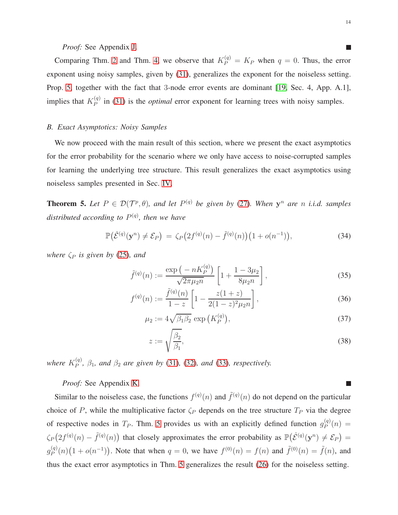*Proof:* See Appendix [J.](#page-28-0)

Comparing Thm. [2](#page-6-1) and Thm. [4,](#page-12-1) we observe that  $K_P^{(q)} = K_P$  when  $q = 0$ . Thus, the error exponent using noisy samples, given by [\(31\)](#page-12-2), generalizes the exponent for the noiseless setting. Prop. [5,](#page-12-3) together with the fact that 3-node error events are dominant [\[19,](#page-34-7) Sec. 4, App. A.1], implies that  $K_P^{(q)}$  $P_P^{(q)}$  in [\(31\)](#page-12-2) is the *optimal* error exponent for learning trees with noisy samples.

## *B. Exact Asymptotics: Noisy Samples*

We now proceed with the main result of this section, where we present the exact asymptotics for the error probability for the scenario where we only have access to noise-corrupted samples for learning the underlying tree structure. This result generalizes the exact asymptotics using noiseless samples presented in Sec. [IV.](#page-8-0)

<span id="page-13-0"></span>**Theorem 5.** Let  $P \in \mathcal{D}(\mathcal{T}^p, \theta)$ , and let  $P^{(q)}$  be given by [\(27\)](#page-11-1). When  $y^n$  are n *i.i.d.* samples *distributed according to* P (q) *, then we have*

<span id="page-13-1"></span>
$$
\mathbb{P}(\hat{\mathcal{E}}^{(q)}(\mathbf{y}^n) \neq \mathcal{E}_P) = \zeta_P(2f^{(q)}(n) - \tilde{f}^{(q)}(n))(1 + o(n^{-1})),\tag{34}
$$

*where*  $\zeta_P$  *is given by* [\(25\)](#page-10-3)*, and* 

$$
\tilde{f}^{(q)}(n) := \frac{\exp\left(-nK_P^{(q)}\right)}{\sqrt{2\pi\mu_2 n}} \left[1 + \frac{1 - 3\mu_2}{8\mu_2 n}\right],\tag{35}
$$

$$
f^{(q)}(n) := \frac{\tilde{f}^{(q)}(n)}{1-z} \left[ 1 - \frac{z(1+z)}{2(1-z)^2 \mu_2 n} \right],
$$
\n(36)

$$
\mu_2 := 4\sqrt{\beta_1 \beta_2} \exp\left(K_P^{(q)}\right),\tag{37}
$$

$$
z := \sqrt{\frac{\beta_2}{\beta_1}},\tag{38}
$$

where  $K_P^{(q)}$  $P_P^{(q)}$ ,  $\beta_1$ , and  $\beta_2$  are given by [\(31\)](#page-12-2), [\(32\)](#page-12-4), and [\(33\)](#page-12-5), respectively.

*Proof:* See Appendix [K.](#page-30-0)

Similar to the noiseless case, the functions  $f^{(q)}(n)$  and  $\tilde{f}^{(q)}(n)$  do not depend on the particular choice of P, while the multiplicative factor  $\zeta_P$  depends on the tree structure  $T_P$  via the degree of respective nodes in  $T_P$ . Thm. [5](#page-13-0) provides us with an explicitly defined function  $g_P^{(q)}$  $P^{(q)}(n) =$  $\zeta_P(2f^{(q)}(n) - \tilde{f}^{(q)}(n))$  that closely approximates the error probability as  $\mathbb{P}(\hat{\mathcal{E}}^{(q)}(\mathbf{y}^n) \neq \mathcal{E}_P) =$  $g_P^{(q)}$  $P_P^{(q)}(n)(1+o(n^{-1}))$ . Note that when  $q=0$ , we have  $f^{(0)}(n) = f(n)$  and  $\tilde{f}^{(0)}(n) = \tilde{f}(n)$ , and thus the exact error asymptotics in Thm. [5](#page-13-0) generalizes the result [\(26\)](#page-11-2) for the noiseless setting.

 $\Box$ 

<span id="page-13-3"></span><span id="page-13-2"></span> $\overline{\phantom{a}}$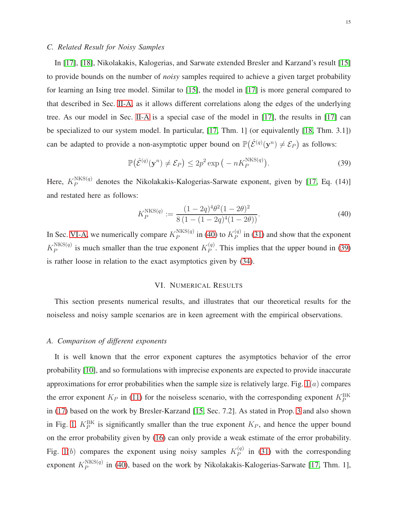## *C. Related Result for Noisy Samples*

In [\[17\]](#page-34-6), [\[18\]](#page-34-11), Nikolakakis, Kalogerias, and Sarwate extended Bresler and Karzand's result [\[15\]](#page-34-4) to provide bounds on the number of *noisy* samples required to achieve a given target probability for learning an Ising tree model. Similar to [\[15\]](#page-34-4), the model in [\[17\]](#page-34-6) is more general compared to that described in Sec. [II-A,](#page-3-0) as it allows different correlations along the edges of the underlying tree. As our model in Sec. [II-A](#page-3-0) is a special case of the model in [\[17\]](#page-34-6), the results in [\[17\]](#page-34-6) can be specialized to our system model. In particular, [\[17,](#page-34-6) Thm. 1] (or equivalently [\[18,](#page-34-11) Thm. 3.1]) can be adapted to provide a non-asymptotic upper bound on  $\mathbb{P}(\hat{\mathcal{E}}^{(q)}(\mathbf{y}^n) \neq \mathcal{E}_P)$  as follows:

<span id="page-14-3"></span>
$$
\mathbb{P}(\hat{\mathcal{E}}^{(q)}(\mathbf{y}^n) \neq \mathcal{E}_P) \leq 2p^2 \exp\left(-nK_P^{\text{NKS}(q)}\right).
$$
 (39)

Here,  $K_P^{NKS(q)}$  $P_P^{NRS}(q)$  denotes the Nikolakakis-Kalogerias-Sarwate exponent, given by [\[17,](#page-34-6) Eq. (14)] and restated here as follows:

<span id="page-14-2"></span>
$$
K_P^{\text{NKS}(q)} := \frac{(1 - 2q)^4 \theta^2 (1 - 2\theta)^2}{8 (1 - (1 - 2q)^4 (1 - 2\theta))}.
$$
\n(40)

In Sec. [VI-A,](#page-14-1) we numerically compare  $K_P^{NKS(q)}$  ${}_P^{\text{NKS}(q)}$  in [\(40\)](#page-14-2) to  $K_P^{(q)}$  $P_P^{(q)}$  in [\(31\)](#page-12-2) and show that the exponent  $K_P^{\rm NKS (q)}$  $P_P^{\text{NKS}(q)}$  is much smaller than the true exponent  $K_P^{(q)}$  $P_P^{(q)}$ . This implies that the upper bound in [\(39\)](#page-14-3) is rather loose in relation to the exact asymptotics given by [\(34\)](#page-13-1).

## VI. NUMERICAL RESULTS

<span id="page-14-0"></span>This section presents numerical results, and illustrates that our theoretical results for the noiseless and noisy sample scenarios are in keen agreement with the empirical observations.

## <span id="page-14-1"></span>*A. Comparison of different exponents*

It is well known that the error exponent captures the asymptotics behavior of the error probability [\[10\]](#page-33-9), and so formulations with imprecise exponents are expected to provide inaccurate approximations for error probabilities when the sample size is relatively large. Fig.  $1(a)$  compares the error exponent  $K_P$  in [\(11\)](#page-6-2) for the noiseless scenario, with the corresponding exponent  $K_P^{\text{BK}}$ in [\(17\)](#page-8-3) based on the work by Bresler-Karzand [\[15,](#page-34-4) Sec. 7.2]. As stated in Prop. [3](#page-8-2) and also shown in Fig. [1,](#page-15-1)  $K_P^{\text{BK}}$  is significantly smaller than the true exponent  $K_P$ , and hence the upper bound on the error probability given by [\(16\)](#page-8-1) can only provide a weak estimate of the error probability. Fig. [1](#page-15-1)(b) compares the exponent using noisy samples  $K_P^{(q)}$  $P_P^{(q)}$  in [\(31\)](#page-12-2) with the corresponding exponent  $K_P^{NKS(q)}$  $P_P^{\text{INNS}(q)}$  in [\(40\)](#page-14-2), based on the work by Nikolakakis-Kalogerias-Sarwate [\[17,](#page-34-6) Thm. 1],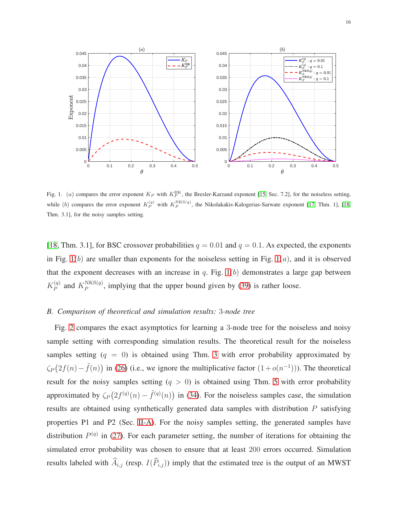

<span id="page-15-1"></span>Fig. 1. (a) compares the error exponent  $K_P$  with  $K_P^{\text{BK}}$ , the Bresler-Karzand exponent [\[15,](#page-34-4) Sec. 7.2], for the noiseless setting, while (b) compares the error exponent  $K_P^{(q)}$  with  $K_P^{NKS}(q)$ , the Nikolakakis-Kalogerias-Sarwate exponent [\[17,](#page-34-6) Thm. 1], [\[18,](#page-34-11) Thm. 3.1], for the noisy samples setting.

[\[18,](#page-34-11) Thm. 3.1], for BSC crossover probabilities  $q = 0.01$  and  $q = 0.1$ . As expected, the exponents in Fig.  $1(b)$  $1(b)$  are smaller than exponents for the noiseless setting in Fig.  $1(a)$ , and it is observed that the exponent decreases with an increase in q. Fig.  $1(b)$  demonstrates a large gap between  $K_P^{(q)}$  $P_P^{(q)}$  and  $K_P^{\text{NKS}(q)}$  $P_P^{NNS(q)}$ , implying that the upper bound given by [\(39\)](#page-14-3) is rather loose.

## <span id="page-15-0"></span>*B. Comparison of theoretical and simulation results:* 3*-node tree*

Fig. [2](#page-16-0) compares the exact asymptotics for learning a 3-node tree for the noiseless and noisy sample setting with corresponding simulation results. The theoretical result for the noiseless samples setting  $(q = 0)$  is obtained using Thm. [3](#page-10-2) with error probability approximated by  $\zeta_P(2f(n) - \tilde{f}(n))$  in [\(26\)](#page-11-2) (i.e., we ignore the multiplicative factor  $(1 + o(n^{-1}))$ ). The theoretical result for the noisy samples setting  $(q > 0)$  is obtained using Thm. [5](#page-13-0) with error probability approximated by  $\zeta_P(2f^{(q)}(n) - \tilde{f}^{(q)}(n))$  in [\(34\)](#page-13-1). For the noiseless samples case, the simulation results are obtained using synthetically generated data samples with distribution  $P$  satisfying properties P1 and P2 (Sec. [II-A\)](#page-3-0). For the noisy samples setting, the generated samples have distribution  $P^{(q)}$  in [\(27\)](#page-11-1). For each parameter setting, the number of iterations for obtaining the simulated error probability was chosen to ensure that at least 200 errors occurred. Simulation results labeled with  $\widehat{A}_{i,j}$  (resp.  $I(\widehat{P}_{i,j})$ ) imply that the estimated tree is the output of an MWST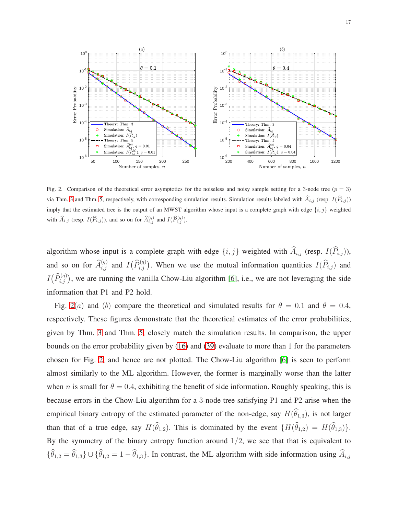

<span id="page-16-0"></span>Fig. 2. Comparison of the theoretical error asymptotics for the noiseless and noisy sample setting for a 3-node tree ( $p = 3$ ) via Thm. [3](#page-10-2) and Thm. [5,](#page-13-0) respectively, with corresponding simulation results. Simulation results labeled with  $\hat{A}_{i,j}$  (resp.  $I(\hat{P}_{i,j})$ ) imply that the estimated tree is the output of an MWST algorithm whose input is a complete graph with edge  $\{i, j\}$  weighted with  $\widehat{A}_{i,j}$  (resp.  $I(\widehat{P}_{i,j})$ ), and so on for  $\widehat{A}_{i,j}^{(q)}$  and  $I(\widehat{P}_{i,j}^{(q)})$ .

algorithm whose input is a complete graph with edge  $\{i, j\}$  weighted with  $\widehat{A}_{i,j}$  (resp.  $I(\widehat{P}_{i,j})$ ), and so on for  $\widehat{A}_{i,j}^{(q)}$  and  $I(\widehat{P}_{i,j}^{(q)})$ . When we use the mutual information quantities  $I(\widehat{P}_{i,j})$  and  $I(\widehat{P}_{i,j}^{(q)})$ , we are running the vanilla Chow-Liu algorithm [\[6\]](#page-33-5), i.e., we are not leveraging the side information that P1 and P2 hold.

Fig. [2](#page-16-0)(a) and (b) compare the theoretical and simulated results for  $\theta = 0.1$  and  $\theta = 0.4$ , respectively. These figures demonstrate that the theoretical estimates of the error probabilities, given by Thm. [3](#page-10-2) and Thm. [5,](#page-13-0) closely match the simulation results. In comparison, the upper bounds on the error probability given by [\(16\)](#page-8-1) and [\(39\)](#page-14-3) evaluate to more than 1 for the parameters chosen for Fig. [2,](#page-16-0) and hence are not plotted. The Chow-Liu algorithm [\[6\]](#page-33-5) is seen to perform almost similarly to the ML algorithm. However, the former is marginally worse than the latter when n is small for  $\theta = 0.4$ , exhibiting the benefit of side information. Roughly speaking, this is because errors in the Chow-Liu algorithm for a 3-node tree satisfying P1 and P2 arise when the empirical binary entropy of the estimated parameter of the non-edge, say  $H(\widehat{\theta}_{1,3})$ , is not larger than that of a true edge, say  $H(\widehat{\theta}_{1,2})$ . This is dominated by the event  ${H(\widehat{\theta}_{1,2}) = H(\widehat{\theta}_{1,3})}.$ By the symmetry of the binary entropy function around  $1/2$ , we see that that is equivalent to  ${\{\widehat{\theta}_{1,2} = \widehat{\theta}_{1,3}\}} \cup {\{\widehat{\theta}_{1,2} = 1 - \widehat{\theta}_{1,3}\}}$ . In contrast, the ML algorithm with side information using  $\widehat{A}_{i,j}$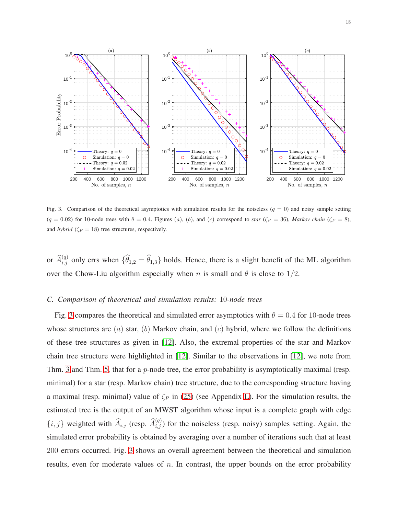

<span id="page-17-0"></span>Fig. 3. Comparison of the theoretical asymptotics with simulation results for the noiseless ( $q = 0$ ) and noisy sample setting  $(q = 0.02)$  for 10-node trees with  $\theta = 0.4$ . Figures (a), (b), and (c) correspond to *star* ( $\zeta_P = 36$ ), *Markov chain* ( $\zeta_P = 8$ ), and *hybrid* ( $\zeta_P = 18$ ) tree structures, respectively.

or  $\widehat{A}_{i,j}^{(q)}$  only errs when  $\{\widehat{\theta}_{1,2} = \widehat{\theta}_{1,3}\}\$  holds. Hence, there is a slight benefit of the ML algorithm over the Chow-Liu algorithm especially when n is small and  $\theta$  is close to 1/2.

#### *C. Comparison of theoretical and simulation results:* 10*-node trees*

Fig. [3](#page-17-0) compares the theoretical and simulated error asymptotics with  $\theta = 0.4$  for 10-node trees whose structures are  $(a)$  star,  $(b)$  Markov chain, and  $(c)$  hybrid, where we follow the definitions of these tree structures as given in [\[12\]](#page-34-1). Also, the extremal properties of the star and Markov chain tree structure were highlighted in [\[12\]](#page-34-1). Similar to the observations in [\[12\]](#page-34-1), we note from Thm. [3](#page-10-2) and Thm. [5,](#page-13-0) that for a  $p$ -node tree, the error probability is asymptotically maximal (resp. minimal) for a star (resp. Markov chain) tree structure, due to the corresponding structure having a maximal (resp. minimal) value of  $\zeta_P$  in [\(25\)](#page-10-3) (see Appendix [L\)](#page-32-0). For the simulation results, the estimated tree is the output of an MWST algorithm whose input is a complete graph with edge  $\{i, j\}$  weighted with  $\widehat{A}_{i,j}$  (resp.  $\widehat{A}_{i,j}^{(q)}$ ) for the noiseless (resp. noisy) samples setting. Again, the simulated error probability is obtained by averaging over a number of iterations such that at least 200 errors occurred. Fig. [3](#page-17-0) shows an overall agreement between the theoretical and simulation results, even for moderate values of  $n$ . In contrast, the upper bounds on the error probability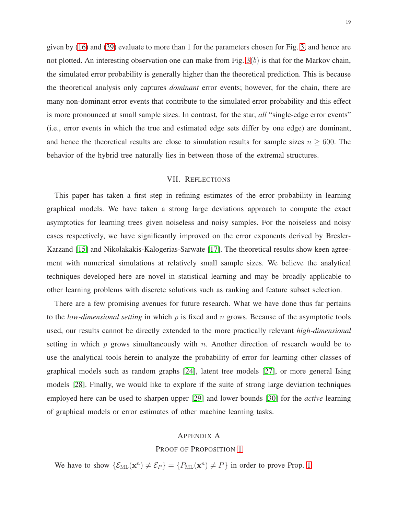given by [\(16\)](#page-8-1) and [\(39\)](#page-14-3) evaluate to more than 1 for the parameters chosen for Fig. [3,](#page-17-0) and hence are not plotted. An interesting observation one can make from Fig.  $3(b)$  is that for the Markov chain, the simulated error probability is generally higher than the theoretical prediction. This is because the theoretical analysis only captures *dominant* error events; however, for the chain, there are many non-dominant error events that contribute to the simulated error probability and this effect is more pronounced at small sample sizes. In contrast, for the star, *all* "single-edge error events" (i.e., error events in which the true and estimated edge sets differ by one edge) are dominant, and hence the theoretical results are close to simulation results for sample sizes  $n \geq 600$ . The behavior of the hybrid tree naturally lies in between those of the extremal structures.

## VII. REFLECTIONS

<span id="page-18-0"></span>This paper has taken a first step in refining estimates of the error probability in learning graphical models. We have taken a strong large deviations approach to compute the exact asymptotics for learning trees given noiseless and noisy samples. For the noiseless and noisy cases respectively, we have significantly improved on the error exponents derived by Bresler-Karzand [\[15\]](#page-34-4) and Nikolakakis-Kalogerias-Sarwate [\[17\]](#page-34-6). The theoretical results show keen agreement with numerical simulations at relatively small sample sizes. We believe the analytical techniques developed here are novel in statistical learning and may be broadly applicable to other learning problems with discrete solutions such as ranking and feature subset selection.

There are a few promising avenues for future research. What we have done thus far pertains to the *low-dimensional setting* in which p is fixed and n grows. Because of the asymptotic tools used, our results cannot be directly extended to the more practically relevant *high-dimensional* setting in which  $p$  grows simultaneously with  $n$ . Another direction of research would be to use the analytical tools herein to analyze the probability of error for learning other classes of graphical models such as random graphs [\[24\]](#page-34-13), latent tree models [\[27\]](#page-34-16), or more general Ising models [\[28\]](#page-34-17). Finally, we would like to explore if the suite of strong large deviation techniques employed here can be used to sharpen upper [\[29\]](#page-34-18) and lower bounds [\[30\]](#page-34-19) for the *active* learning of graphical models or error estimates of other machine learning tasks.

## <span id="page-18-1"></span>APPENDIX A

#### PROOF OF PROPOSITION [1](#page-4-1)

We have to show  $\{\mathcal{E}_{ML}(\mathbf{x}^n) \neq \mathcal{E}_P\} = \{P_{ML}(\mathbf{x}^n) \neq P\}$  in order to prove Prop. [1.](#page-4-1)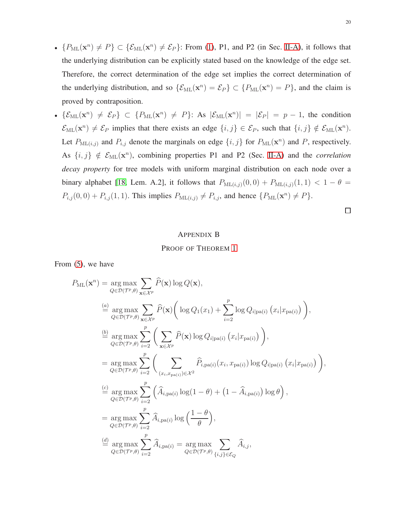- ${P_{ML}(\mathbf{x}^n) \neq P} \subset {\mathcal{E}_{ML}(\mathbf{x}^n) \neq \mathcal{E}_P}$ : From [\(1\)](#page-3-1), P1, and P2 (in Sec. [II-A\)](#page-3-0), it follows that the underlying distribution can be explicitly stated based on the knowledge of the edge set. Therefore, the correct determination of the edge set implies the correct determination of the underlying distribution, and so  $\{\mathcal{E}_{ML}(\mathbf{x}^n) = \mathcal{E}_P\} \subset \{P_{ML}(\mathbf{x}^n) = P\}$ , and the claim is proved by contraposition.
- $\{\mathcal{E}_{ML}(\mathbf{x}^n) \neq \mathcal{E}_P\} \subset \{P_{ML}(\mathbf{x}^n) \neq P\}$ : As  $|\mathcal{E}_{ML}(\mathbf{x}^n)| = |\mathcal{E}_P| = p 1$ , the condition  $\mathcal{E}_{ML}(\mathbf{x}^n) \neq \mathcal{E}_P$  implies that there exists an edge  $\{i, j\} \in \mathcal{E}_P$ , such that  $\{i, j\} \notin \mathcal{E}_{ML}(\mathbf{x}^n)$ . Let  $P_{\text{ML}(i,j)}$  and  $P_{i,j}$  denote the marginals on edge  $\{i, j\}$  for  $P_{\text{ML}}(\mathbf{x}^n)$  and P, respectively. As  $\{i, j\} \notin \mathcal{E}_{ML}(\mathbf{x}^n)$ , combining properties P1 and P2 (Sec. [II-A\)](#page-3-0) and the *correlation decay property* for tree models with uniform marginal distribution on each node over a binary alphabet [\[18,](#page-34-11) Lem. A.2], it follows that  $P_{ML(i,j)}(0,0) + P_{ML(i,j)}(1,1) < 1 - \theta =$  $P_{i,j}(0,0) + P_{i,j}(1,1)$ . This implies  $P_{ML(i,j)} \neq P_{i,j}$ , and hence  $\{P_{ML}(\mathbf{x}^n) \neq P\}$ .

 $\Box$ 

#### <span id="page-19-0"></span>APPENDIX B

#### PROOF OF THEOREM [1](#page-6-0)

From [\(5\)](#page-5-2), we have

$$
P_{\text{ML}}(\mathbf{x}^{n}) = \underset{Q \in \mathcal{D}(\mathcal{T}^{p}, \theta)}{\arg \max} \sum_{\mathbf{x} \in \mathcal{X}^{p}} \widehat{P}(\mathbf{x}) \log Q(\mathbf{x}),
$$
\n
$$
\stackrel{(a)}{=} \underset{Q \in \mathcal{D}(\mathcal{T}^{p}, \theta)}{\arg \max} \sum_{\mathbf{x} \in \mathcal{X}^{p}} \widehat{P}(\mathbf{x}) \bigg( \log Q_{1}(x_{1}) + \sum_{i=2}^{p} \log Q_{i | \text{pa}(i)} (x_{i} | x_{\text{pa}(i)}) \bigg),
$$
\n
$$
\stackrel{(b)}{=} \underset{Q \in \mathcal{D}(\mathcal{T}^{p}, \theta)}{\arg \max} \sum_{i=2}^{p} \bigg( \sum_{\mathbf{x} \in \mathcal{X}^{p}} \widehat{P}(\mathbf{x}) \log Q_{i | \text{pa}(i)} (x_{i} | x_{\text{pa}(i)}) \bigg),
$$
\n
$$
= \underset{Q \in \mathcal{D}(\mathcal{T}^{p}, \theta)}{\arg \max} \sum_{i=2}^{p} \bigg( \sum_{(x_{i}, x_{\text{pa}(i)}) \in \mathcal{X}^{2}} \widehat{P}_{i, \text{pa}(i)} (x_{i}, x_{\text{pa}(i)}) \log Q_{i | \text{pa}(i)} (x_{i} | x_{\text{pa}(i)}) \bigg),
$$
\n
$$
\stackrel{(c)}{=} \underset{Q \in \mathcal{D}(\mathcal{T}^{p}, \theta)}{\arg \max} \sum_{i=2}^{p} \left( \widehat{A}_{i, \text{pa}(i)} \log (1 - \theta) + (1 - \widehat{A}_{i, \text{pa}(i)}) \log \theta \right),
$$
\n
$$
= \underset{Q \in \mathcal{D}(\mathcal{T}^{p}, \theta)}{\arg \max} \sum_{i=2}^{p} \widehat{A}_{i, \text{pa}(i)} \log \left( \frac{1 - \theta}{\theta} \right),
$$
\n
$$
\stackrel{(d)}{=} \underset{Q \in \mathcal{D}(\mathcal{T}^{p}, \theta)}{\arg \max} \sum_{i=2}^{p} \widehat{A}_{i, \text{pa}(i)} = \underset{Q \in \mathcal{D}(\
$$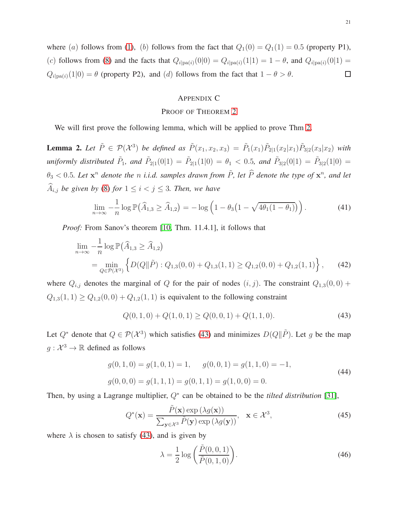where (a) follows from [\(1\)](#page-3-1), (b) follows from the fact that  $Q_1(0) = Q_1(1) = 0.5$  (property P1), (c) follows from [\(8\)](#page-5-5) and the facts that  $Q_{i|pa(i)}(0|0) = Q_{i|pa(i)}(1|1) = 1 - \theta$ , and  $Q_{i|pa(i)}(0|1) =$  $Q_{i|pa(i)}(1|0) = \theta$  (property P2), and (d) follows from the fact that  $1 - \theta > \theta$ . □

## <span id="page-20-0"></span>APPENDIX C

#### PROOF OF THEOREM [2](#page-6-1)

We will first prove the following lemma, which will be applied to prove Thm [2.](#page-6-1)

<span id="page-20-5"></span>**Lemma 2.** Let  $\tilde{P} \in \mathcal{P}(\mathcal{X}^3)$  be defined as  $\tilde{P}(x_1, x_2, x_3) = \tilde{P}_1(x_1)\tilde{P}_{2|1}(x_2|x_1)\tilde{P}_{3|2}(x_3|x_2)$  with *uniformly distributed*  $\tilde{P}_1$ , and  $\tilde{P}_{2|1}(0|1) = \tilde{P}_{2|1}(1|0) = \theta_1 < 0.5$ , and  $\tilde{P}_{3|2}(0|1) = \tilde{P}_{3|2}(1|0) =$  $\theta_3 < 0.5$ . Let  $x^n$  denote the n *i.i.d.* samples drawn from  $\tilde{P}$ , let  $\widehat{P}$  denote the type of  $x^n$ , and let  $\widehat{A}_{i,j}$  *be given by* [\(8\)](#page-5-5) *for*  $1 \leq i < j \leq 3$ *. Then, we have* 

$$
\lim_{n \to \infty} -\frac{1}{n} \log \mathbb{P}\big(\widehat{A}_{1,3} \ge \widehat{A}_{1,2}\big) = -\log \left(1 - \theta_3 \big(1 - \sqrt{4\theta_1(1 - \theta_1)}\big)\right). \tag{41}
$$

*Proof:* From Sanov's theorem [\[10,](#page-33-9) Thm. 11.4.1], it follows that

$$
\lim_{n \to \infty} -\frac{1}{n} \log \mathbb{P}(\widehat{A}_{1,3} \ge \widehat{A}_{1,2})
$$
\n
$$
= \min_{Q \in \mathcal{P}(X^3)} \left\{ D(Q||\tilde{P}) : Q_{1,3}(0,0) + Q_{1,3}(1,1) \ge Q_{1,2}(0,0) + Q_{1,2}(1,1) \right\},\tag{42}
$$

where  $Q_{i,j}$  denotes the marginal of Q for the pair of nodes  $(i, j)$ . The constraint  $Q_{1,3}(0, 0)$  +  $Q_{1,3}(1, 1) \geq Q_{1,2}(0, 0) + Q_{1,2}(1, 1)$  is equivalent to the following constraint

<span id="page-20-2"></span><span id="page-20-1"></span>
$$
Q(0,1,0) + Q(1,0,1) \ge Q(0,0,1) + Q(1,1,0). \tag{43}
$$

Let  $Q^*$  denote that  $Q \in \mathcal{P}(\mathcal{X}^3)$  which satisfies [\(43\)](#page-20-1) and minimizes  $D(Q||\tilde{P})$ . Let g be the map  $g: \mathcal{X}^3 \to \mathbb{R}$  defined as follows

<span id="page-20-6"></span>
$$
g(0, 1, 0) = g(1, 0, 1) = 1, \qquad g(0, 0, 1) = g(1, 1, 0) = -1,
$$
  
\n
$$
g(0, 0, 0) = g(1, 1, 1) = g(0, 1, 1) = g(1, 0, 0) = 0.
$$
\n(44)

Then, by using a Lagrange multiplier, Q<sup>∗</sup> can be obtained to be the *tilted distribution* [\[31\]](#page-34-20),

<span id="page-20-3"></span>
$$
Q^*(\mathbf{x}) = \frac{\tilde{P}(\mathbf{x}) \exp(\lambda g(\mathbf{x}))}{\sum_{\mathbf{y} \in \mathcal{X}^3} \tilde{P}(\mathbf{y}) \exp(\lambda g(\mathbf{y}))}, \quad \mathbf{x} \in \mathcal{X}^3,
$$
\n(45)

where  $\lambda$  is chosen to satisfy [\(43\)](#page-20-1), and is given by

<span id="page-20-4"></span>
$$
\lambda = \frac{1}{2} \log \left( \frac{\tilde{P}(0, 0, 1)}{\tilde{P}(0, 1, 0)} \right).
$$
\n(46)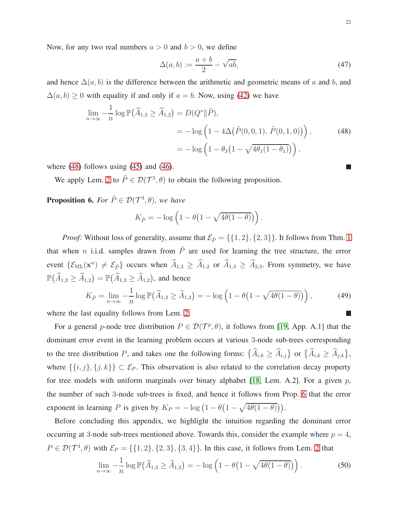Now, for any two real numbers  $a > 0$  and  $b > 0$ , we define

<span id="page-21-0"></span>
$$
\Delta(a,b) := \frac{a+b}{2} - \sqrt{ab},\tag{47}
$$

and hence  $\Delta(a, b)$  is the difference between the arithmetic and geometric means of a and b, and  $\Delta(a, b) \geq 0$  with equality if and only if  $a = b$ . Now, using [\(42\)](#page-20-2) we have

$$
\lim_{n \to \infty} -\frac{1}{n} \log \mathbb{P}(\widehat{A}_{1,3} \ge \widehat{A}_{1,2}) = D(Q^* \| \tilde{P}),
$$
  
=  $-\log \left(1 - 4\Delta(\tilde{P}(0,0,1), \tilde{P}(0,1,0))\right),$  (48)  
=  $-\log \left(1 - \theta_3\left(1 - \sqrt{4\theta_1(1-\theta_1)}\right)\right),$ 

where  $(48)$  follows using  $(45)$  and  $(46)$ .

We apply Lem. [2](#page-20-5) to  $\tilde{P} \in \mathcal{D}(\mathcal{T}^3, \theta)$  to obtain the following proposition.

<span id="page-21-1"></span>**Proposition 6.** *For*  $\tilde{P} \in \mathcal{D}(\mathcal{T}^3, \theta)$ *, we have* 

$$
K_{\tilde{P}} = -\log\left(1 - \theta\left(1 - \sqrt{4\theta(1-\theta)}\right)\right).
$$

*Proof:* Without loss of generality, assume that  $\mathcal{E}_{\tilde{P}} = \{\{1, 2\}, \{2, 3\}\}\.$  It follows from Thm. [1](#page-6-0) that when n i.i.d. samples drawn from  $\tilde{P}$  are used for learning the tree structure, the error event  $\{\mathcal{E}_{ML}(\mathbf{x}^n) \neq \mathcal{E}_{\tilde{P}}\}$  occurs when  $\widehat{A}_{1,3} \geq \widehat{A}_{1,2}$  or  $\widehat{A}_{1,3} \geq \widehat{A}_{2,3}$ . From symmetry, we have  $\mathbb{P}(\widehat{A}_{1,3} \ge \widehat{A}_{1,2}) = \mathbb{P}(\widehat{A}_{1,3} \ge \widehat{A}_{1,2})$ , and hence

<span id="page-21-3"></span>
$$
K_{\tilde{P}} = \lim_{n \to \infty} -\frac{1}{n} \log \mathbb{P}\left(\widehat{A}_{1,3} \ge \widehat{A}_{1,2}\right) = -\log \left(1 - \theta \left(1 - \sqrt{4\theta(1-\theta)}\right)\right),\tag{49}
$$

where the last equality follows from Lem. [2.](#page-20-5)

For a general p-node tree distribution  $P \in \mathcal{D}(\mathcal{T}^p, \theta)$ , it follows from [\[19,](#page-34-7) App. A.1] that the dominant error event in the learning problem occurs at various 3-node sub-trees corresponding to the tree distribution P, and takes one the following forms:  $\{\widehat{A}_{i,k} \geq \widehat{A}_{i,j}\}$  or  $\{\widehat{A}_{i,k} \geq \widehat{A}_{j,k}\}\,$ where  $\{\{i, j\}, \{j, k\}\}\subset \mathcal{E}_P$ . This observation is also related to the correlation decay property for tree models with uniform marginals over binary alphabet [\[18,](#page-34-11) Lem. A.2]. For a given  $p$ , the number of such 3-node sub-trees is fixed, and hence it follows from Prop. [6](#page-21-1) that the error exponent in learning P is given by  $K_P = -\log(1 - \theta(1 - \sqrt{4\theta(1-\theta)})).$ 

Before concluding this appendix, we highlight the intuition regarding the dominant error occurring at 3-node sub-trees mentioned above. Towards this, consider the example where  $p = 4$ ,  $P \in \mathcal{D}(\mathcal{T}^4, \theta)$  with  $\mathcal{E}_P = \{\{1, 2\}, \{2, 3\}, \{3, 4\}\}\$  $\mathcal{E}_P = \{\{1, 2\}, \{2, 3\}, \{3, 4\}\}\$  $\mathcal{E}_P = \{\{1, 2\}, \{2, 3\}, \{3, 4\}\}\$ . In this case, it follows from Lem. 2 that

<span id="page-21-2"></span>
$$
\lim_{n \to \infty} -\frac{1}{n} \log \mathbb{P}\left(\widehat{A}_{1,3} \ge \widehat{A}_{1,2}\right) = -\log \left(1 - \theta \left(1 - \sqrt{4\theta(1-\theta)}\right)\right). \tag{50}
$$

П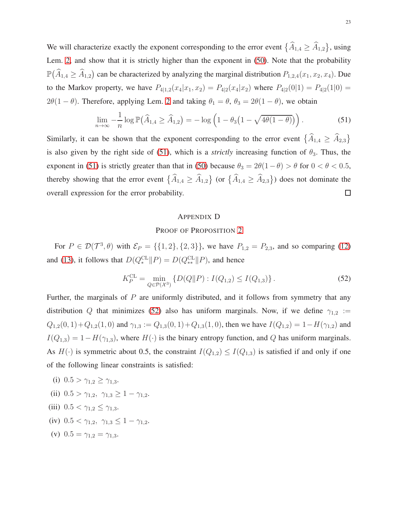We will characterize exactly the exponent corresponding to the error event  $\{\widehat{A}_{1,4} \ge \widehat{A}_{1,2}\}\,$  using Lem. [2,](#page-20-5) and show that it is strictly higher than the exponent in [\(50\)](#page-21-2). Note that the probability  $\mathbb{P}(\widehat{A}_{1,4} \ge \widehat{A}_{1,2})$  can be characterized by analyzing the marginal distribution  $P_{1,2,4}(x_1, x_2, x_4)$ . Due to the Markov property, we have  $P_{4|1,2}(x_4|x_1, x_2) = P_{4|2}(x_4|x_2)$  where  $P_{4|2}(0|1) = P_{4|2}(1|0)$  $2\theta(1-\theta)$ . Therefore, applying Lem. [2](#page-20-5) and taking  $\theta_1 = \theta$ ,  $\theta_3 = 2\theta(1-\theta)$ , we obtain

<span id="page-22-1"></span>
$$
\lim_{n \to \infty} -\frac{1}{n} \log \mathbb{P}\left(\widehat{A}_{1,4} \ge \widehat{A}_{1,2}\right) = -\log \left(1 - \theta_3 \left(1 - \sqrt{4\theta(1-\theta)}\right)\right). \tag{51}
$$

Similarly, it can be shown that the exponent corresponding to the error event  $\{\widehat{A}_{1,4} \geq \widehat{A}_{2,3}\}$ is also given by the right side of [\(51\)](#page-22-1), which is a *strictly* increasing function of  $\theta_3$ . Thus, the exponent in [\(51\)](#page-22-1) is strictly greater than that in [\(50\)](#page-21-2) because  $\theta_3 = 2\theta(1-\theta) > \theta$  for  $0 < \theta < 0.5$ , thereby showing that the error event  $\{\widehat{A}_{1,4} \geq \widehat{A}_{1,2}\}$  (or  $\{\widehat{A}_{1,4} \geq \widehat{A}_{2,3}\}$ ) does not dominate the  $\Box$ overall expression for the error probability.

#### <span id="page-22-0"></span>APPENDIX D

## PROOF OF PROPOSITION [2](#page-7-1)

For  $P \in \mathcal{D}(\mathcal{T}^3, \theta)$  with  $\mathcal{E}_P = \{\{1, 2\}, \{2, 3\}\}\$ , we have  $P_{1,2} = P_{2,3}$ , and so comparing [\(12\)](#page-7-2) and [\(13\)](#page-7-3), it follows that  $D(Q_*^{\text{CL}} \| P) = D(Q_{**}^{\text{CL}} \| P)$ , and hence

<span id="page-22-2"></span>
$$
K_P^{\text{CL}} = \min_{Q \in \mathcal{P}(\mathcal{X}^3)} \{ D(Q \| P) : I(Q_{1,2}) \le I(Q_{1,3}) \}.
$$
\n(52)

Further, the marginals of  $P$  are uniformly distributed, and it follows from symmetry that any distribution Q that minimizes [\(52\)](#page-22-2) also has uniform marginals. Now, if we define  $\gamma_{1,2}$  :=  $Q_{1,2}(0, 1)+Q_{1,2}(1, 0)$  and  $\gamma_{1,3} := Q_{1,3}(0, 1)+Q_{1,3}(1, 0)$ , then we have  $I(Q_{1,2}) = 1-H(\gamma_{1,2})$  and  $I(Q_{1,3}) = 1 - H(\gamma_{1,3})$ , where  $H(\cdot)$  is the binary entropy function, and Q has uniform marginals. As  $H(\cdot)$  is symmetric about 0.5, the constraint  $I(Q_{1,2}) \leq I(Q_{1,3})$  is satisfied if and only if one of the following linear constraints is satisfied:

- (i)  $0.5 > \gamma_{1.2} \geq \gamma_{1.3}$ .
- (ii)  $0.5 > \gamma_{1,2}, \gamma_{1,3} \geq 1 \gamma_{1,2}.$
- (iii)  $0.5 < \gamma_{1,2} \leq \gamma_{1,3}$ .
- (iv)  $0.5 < \gamma_{1,2}, \gamma_{1,3} \leq 1 \gamma_{1,2}.$
- (v)  $0.5 = \gamma_{1,2} = \gamma_{1,3}$ .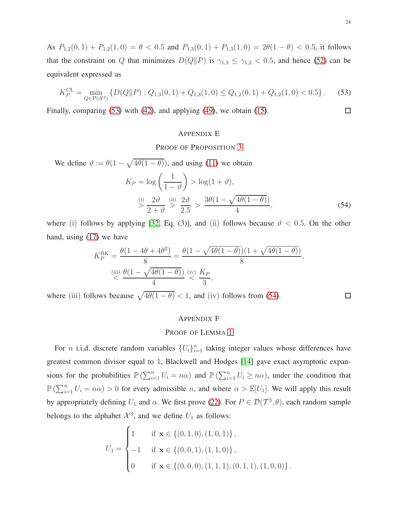As  $P_{1,2}(0,1) + P_{1,2}(1,0) = \theta < 0.5$  and  $P_{1,3}(0,1) + P_{1,3}(1,0) = 2\theta(1-\theta) < 0.5$ , it follows that the constraint on Q that minimizes  $D(Q||P)$  is  $\gamma_{1,3} \leq \gamma_{1,2} < 0.5$ , and hence [\(52\)](#page-22-2) can be equivalent expressed as

<span id="page-23-2"></span>
$$
K_P^{\text{CL}} = \min_{Q \in \mathcal{P}(\mathcal{X}^3)} \left\{ D(Q||P) : Q_{1,3}(0,1) + Q_{1,3}(1,0) \le Q_{1,2}(0,1) + Q_{1,2}(1,0) < 0.5 \right\}. \tag{53}
$$

Finally, comparing [\(53\)](#page-23-2) with [\(42\)](#page-20-2), and applying [\(49\)](#page-21-3), we obtain [\(15\)](#page-7-4).

## <span id="page-23-0"></span>APPENDIX E

## PROOF OF PROPOSITION [3](#page-8-2)

We define  $\vartheta := \theta(1 - \sqrt{4\theta(1 - \theta)})$ , and using [\(11\)](#page-6-2) we obtain

$$
K_P = \log\left(\frac{1}{1-\vartheta}\right) > \log(1+\vartheta),
$$
  

$$
\stackrel{\text{(i)}}{>}\frac{2\vartheta}{2+\vartheta} \stackrel{\text{(ii)}}{>}\frac{2\vartheta}{2.5} > \frac{3\theta(1-\sqrt{4\theta(1-\theta)})}{4},
$$
 (54)

where (i) follows by applying [\[32,](#page-34-21) Eq. (3)], and (ii) follows because  $\vartheta$  < 0.5. On the other hand, using [\(17\)](#page-8-3) we have

$$
K_P^{\text{BK}} = \frac{\theta(1 - 4\theta + 4\theta^2)}{8} = \frac{\theta(1 - \sqrt{4\theta(1 - \theta)})(1 + \sqrt{4\theta(1 - \theta)})}{8},
$$
  
(iii) 
$$
\frac{\theta(1 - \sqrt{4\theta(1 - \theta)})}{4} \stackrel{\text{(iv)}}{\leq} \frac{K_P}{3},
$$

where (iii) follows because  $\sqrt{4\theta(1-\theta)} < 1$ , and (iv) follows from [\(54\)](#page-23-3).

#### <span id="page-23-1"></span>APPENDIX F

## PROOF OF LEMMA [1](#page-9-3)

For *n* i.i.d. discrete random variables  $\{U_i\}_{i=1}^n$  taking integer values whose differences have greatest common divisor equal to 1, Blackwell and Hodges [\[14\]](#page-34-3) gave exact asymptotic expansions for the probabilities  $\mathbb{P}(\sum_{i=1}^n U_i = n\alpha)$  and  $\mathbb{P}(\sum_{i=1}^n U_i \geq n\alpha)$ , under the condition that  $\mathbb{P}(\sum_{i=1}^n U_i = n\alpha) > 0$  for every admissible n, and where  $\alpha > \mathbb{E}[U_1]$ . We will apply this result by appropriately defining  $U_1$  and  $\alpha$ . We first prove [\(22\)](#page-9-4). For  $P \in \mathcal{D}(\mathcal{T}^3, \theta)$ , each random sample belongs to the alphabet  $\mathcal{X}^3$ , and we define  $U_1$  as follows:

$$
U_1 = \begin{cases} 1 & \text{if } \mathbf{x} \in \{ (0, 1, 0), (1, 0, 1) \}, \\ -1 & \text{if } \mathbf{x} \in \{ (0, 0, 1), (1, 1, 0) \}, \\ 0 & \text{if } \mathbf{x} \in \{ (0, 0, 0), (1, 1, 1), (0, 1, 1), (1, 0, 0) \}. \end{cases}
$$

<span id="page-23-3"></span> $\Box$ 

 $\Box$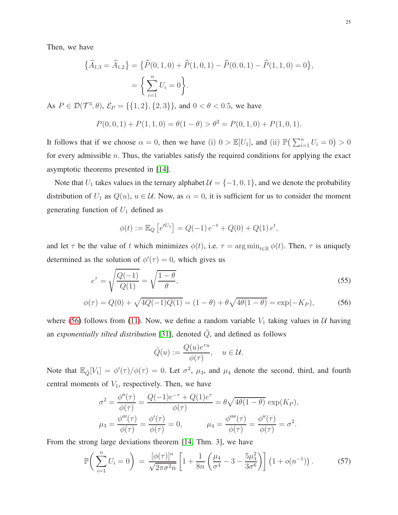Then, we have

$$
\{\widehat{A}_{1,3} = \widehat{A}_{1,2}\} = \{\widehat{P}(0,1,0) + \widehat{P}(1,0,1) - \widehat{P}(0,0,1) - \widehat{P}(1,1,0) = 0\},\
$$

$$
= \left\{\sum_{i=1}^{n} U_i = 0\right\}.
$$

As  $P \in \mathcal{D}(\mathcal{T}^3, \theta)$ ,  $\mathcal{E}_P = \{\{1, 2\}, \{2, 3\}\}\$ , and  $0 < \theta < 0.5$ , we have

$$
P(0,0,1) + P(1,1,0) = \theta(1-\theta) > \theta^2 = P(0,1,0) + P(1,0,1).
$$

It follows that if we choose  $\alpha = 0$ , then we have (i)  $0 > \mathbb{E}[U_1]$ , and (ii)  $\mathbb{P}(\sum_{i=1}^n U_i = 0) > 0$ for every admissible  $n$ . Thus, the variables satisfy the required conditions for applying the exact asymptotic theorems presented in [\[14\]](#page-34-3).

Note that  $U_1$  takes values in the ternary alphabet  $\mathcal{U} = \{-1, 0, 1\}$ , and we denote the probability distribution of  $U_1$  as  $Q(u)$ ,  $u \in U$ . Now, as  $\alpha = 0$ , it is sufficient for us to consider the moment generating function of  $U_1$  defined as

$$
\phi(t) := \mathbb{E}_Q \left[ e^{tU_1} \right] = Q(-1) e^{-t} + Q(0) + Q(1) e^t,
$$

and let  $\tau$  be the value of t which minimizes  $\phi(t)$ , i.e.  $\tau = \arg \min_{t \in \mathbb{R}} \phi(t)$ . Then,  $\tau$  is uniquely determined as the solution of  $\phi'(\tau) = 0$ , which gives us

$$
e^{\tau} = \sqrt{\frac{Q(-1)}{Q(1)}} = \sqrt{\frac{1-\theta}{\theta}},\tag{55}
$$

$$
\phi(\tau) = Q(0) + \sqrt{4Q(-1)Q(1)} = (1 - \theta) + \theta \sqrt{4\theta(1 - \theta)} = \exp(-K_P),
$$
 (56)

where [\(56\)](#page-24-0) follows from [\(11\)](#page-6-2). Now, we define a random variable  $V_1$  taking values in  $U$  having an *exponentially tilted distribution* [\[31\]](#page-34-20), denoted  $\tilde{Q}$ , and defined as follows

<span id="page-24-0"></span>
$$
\tilde{Q}(u) := \frac{Q(u)e^{\tau u}}{\phi(\tau)}, \quad u \in \mathcal{U}.
$$

Note that  $\mathbb{E}_{\tilde{Q}}[V_1] = \phi'(\tau)/\phi(\tau) = 0$ . Let  $\sigma^2$ ,  $\mu_3$ , and  $\mu_4$  denote the second, third, and fourth central moments of  $V_1$ , respectively. Then, we have

$$
\sigma^{2} = \frac{\phi''(\tau)}{\phi(\tau)} = \frac{Q(-1)e^{-\tau} + Q(1)e^{\tau}}{\phi(\tau)} = \theta \sqrt{4\theta(1-\theta)} \exp(K_{P}),
$$
  

$$
\mu_{3} = \frac{\phi'''(\tau)}{\phi(\tau)} = \frac{\phi'(\tau)}{\phi(\tau)} = 0, \qquad \mu_{4} = \frac{\phi''''(\tau)}{\phi(\tau)} = \frac{\phi''(\tau)}{\phi(\tau)} = \sigma^{2}.
$$

From the strong large deviations theorem [\[14,](#page-34-3) Thm. 3], we have

<span id="page-24-1"></span>
$$
\mathbb{P}\bigg(\sum_{i=1}^{n} U_i = 0\bigg) = \frac{[\phi(\tau)]^n}{\sqrt{2\pi\sigma^2 n}} \left[1 + \frac{1}{8n} \left(\frac{\mu_4}{\sigma^4} - 3 - \frac{5\mu_3^2}{3\sigma^6}\right)\right] \left(1 + o(n^{-1})\right). \tag{57}
$$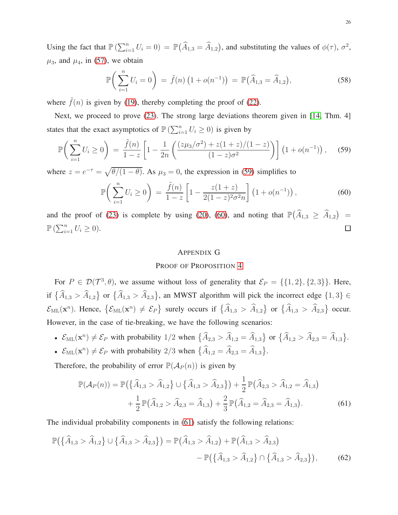Using the fact that  $\mathbb{P}(\sum_{i=1}^n U_i = 0) = \mathbb{P}(\widehat{A}_{1,3} = \widehat{A}_{1,2})$ , and substituting the values of  $\phi(\tau)$ ,  $\sigma^2$ ,  $\mu_3$ , and  $\mu_4$ , in [\(57\)](#page-24-1), we obtain

$$
\mathbb{P}\bigg(\sum_{i=1}^{n} U_i = 0\bigg) = \tilde{f}(n) \left(1 + o(n^{-1})\right) = \mathbb{P}(\widehat{A}_{1,3} = \widehat{A}_{1,2}),\tag{58}
$$

where  $\tilde{f}(n)$  is given by [\(19\)](#page-9-1), thereby completing the proof of [\(22\)](#page-9-4).

Next, we proceed to prove [\(23\)](#page-9-0). The strong large deviations theorem given in [\[14,](#page-34-3) Thm. 4] states that the exact asymptotics of  $\mathbb{P}(\sum_{i=1}^n U_i \geq 0)$  is given by

<span id="page-25-1"></span>
$$
\mathbb{P}\bigg(\sum_{i=1}^n U_i \ge 0\bigg) = \frac{\tilde{f}(n)}{1-z} \left[1 - \frac{1}{2n} \left(\frac{(z\mu_3/\sigma^2) + z(1+z)/(1-z)}{(1-z)\sigma^2}\right)\right] \left(1 + o(n^{-1})\right),\tag{59}
$$

where  $z = e^{-\tau} = \sqrt{\theta/(1-\theta)}$ . As  $\mu_3 = 0$ , the expression in [\(59\)](#page-25-1) simplifies to

<span id="page-25-2"></span>
$$
\mathbb{P}\bigg(\sum_{i=1}^{n} U_i \ge 0\bigg) = \frac{\tilde{f}(n)}{1-z} \left[1 - \frac{z(1+z)}{2(1-z)^2\sigma^2 n}\right] \left(1 + o(n^{-1})\right),\tag{60}
$$

and the proof of [\(23\)](#page-9-0) is complete by using [\(20\)](#page-9-2), [\(60\)](#page-25-2), and noting that  $\mathbb{P}(\widehat{A}_{1,3} \ge \widehat{A}_{1,2}) =$  $\mathbb{P}\left(\sum_{i=1}^n U_i \geq 0\right).$  $\Box$ 

#### <span id="page-25-4"></span><span id="page-25-3"></span><span id="page-25-0"></span>APPENDIX G

## PROOF OF PROPOSITION [4](#page-10-1)

For  $P \in \mathcal{D}(\mathcal{T}^3, \theta)$ , we assume without loss of generality that  $\mathcal{E}_P = \{\{1, 2\}, \{2, 3\}\}\$ . Here, if  $\{\widehat{A}_{1,3} > \widehat{A}_{1,2}\}$  or  $\{\widehat{A}_{1,3} > \widehat{A}_{2,3}\}$ , an MWST algorithm will pick the incorrect edge  $\{1,3\} \in$  $\mathcal{E}_{\text{ML}}(\mathbf{x}^n)$ . Hence,  $\{\mathcal{E}_{\text{ML}}(\mathbf{x}^n) \neq \mathcal{E}_P\}$  surely occurs if  $\{\widehat{A}_{1,3} > \widehat{A}_{1,2}\}$  or  $\{\widehat{A}_{1,3} > \widehat{A}_{2,3}\}$  occur. However, in the case of tie-breaking, we have the following scenarios:

- $\mathcal{E}_{ML}(\mathbf{x}^n) \neq \mathcal{E}_P$  with probability 1/2 when  $\{\widehat{A}_{2,3} > \widehat{A}_{1,2} = \widehat{A}_{1,3}\}\$  or  $\{\widehat{A}_{1,2} > \widehat{A}_{2,3} = \widehat{A}_{1,3}\}.$ •  $\mathcal{E}_{ML}(\mathbf{x}^n) \neq \mathcal{E}_P$  with probability 2/3 when  $\{\widehat{A}_{1,2} = \widehat{A}_{2,3} = \widehat{A}_{1,3}\}.$
- 

Therefore, the probability of error  $\mathbb{P}(\mathcal{A}_P(n))$  is given by

$$
\mathbb{P}(\mathcal{A}_P(n)) = \mathbb{P}\left(\{\widehat{A}_{1,3} > \widehat{A}_{1,2}\} \cup \{\widehat{A}_{1,3} > \widehat{A}_{2,3}\}\right) + \frac{1}{2} \mathbb{P}\left(\widehat{A}_{2,3} > \widehat{A}_{1,2} = \widehat{A}_{1,3}\right) + \frac{1}{2} \mathbb{P}\left(\widehat{A}_{1,2} > \widehat{A}_{2,3} = \widehat{A}_{1,3}\right) + \frac{2}{3} \mathbb{P}\left(\widehat{A}_{1,2} = \widehat{A}_{2,3} = \widehat{A}_{1,3}\right).
$$
 (61)

The individual probability components in [\(61\)](#page-25-3) satisfy the following relations:

$$
\mathbb{P}(\{\hat{A}_{1,3} > \hat{A}_{1,2}\} \cup \{\hat{A}_{1,3} > \hat{A}_{2,3}\}) = \mathbb{P}(\hat{A}_{1,3} > \hat{A}_{1,2}) + \mathbb{P}(\hat{A}_{1,3} > \hat{A}_{2,3}) - \mathbb{P}(\{\hat{A}_{1,3} > \hat{A}_{1,2}\} \cap \{\hat{A}_{1,3} > \hat{A}_{2,3}\}),
$$
(62)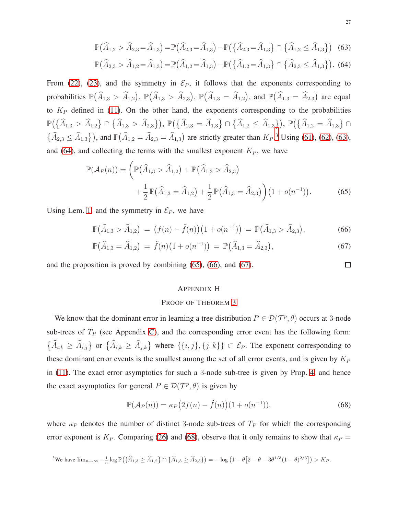$$
\mathbb{P}(\widehat{A}_{1,2} > \widehat{A}_{2,3} = \widehat{A}_{1,3}) = \mathbb{P}(\widehat{A}_{2,3} = \widehat{A}_{1,3}) - \mathbb{P}(\{\widehat{A}_{2,3} = \widehat{A}_{1,3}\} \cap \{\widehat{A}_{1,2} \le \widehat{A}_{1,3}\})
$$
(63)

$$
\mathbb{P}(\widehat{A}_{2,3} > \widehat{A}_{1,2} = \widehat{A}_{1,3}) = \mathbb{P}(\widehat{A}_{1,2} = \widehat{A}_{1,3}) - \mathbb{P}(\{\widehat{A}_{1,2} = \widehat{A}_{1,3}\} \cap \{\widehat{A}_{2,3} \le \widehat{A}_{1,3}\}).
$$
 (64)

From [\(22\)](#page-9-4), [\(23\)](#page-9-0), and the symmetry in  $\mathcal{E}_P$ , it follows that the exponents corresponding to probabilities  $\mathbb{P}(\widehat{A}_{1,3} > \widehat{A}_{1,2})$ ,  $\mathbb{P}(\widehat{A}_{1,3} > \widehat{A}_{2,3})$ ,  $\mathbb{P}(\widehat{A}_{1,3} = \widehat{A}_{1,2})$ , and  $\mathbb{P}(\widehat{A}_{1,3} = \widehat{A}_{2,3})$  are equal to  $K_P$  defined in [\(11\)](#page-6-2). On the other hand, the exponents corresponding to the probabilities  $\mathbb{P}\big(\big\{\widehat{A}_{1,3} > \widehat{A}_{1,2}\big\}\cap\big\{\widehat{A}_{1,3} > \widehat{A}_{2,3}\big\}\big),\ \mathbb{P}\big(\big\{\widehat{A}_{2,3} = \widehat{A}_{1,3}\big\}\cap\big\{\widehat{A}_{1,2} \leq \widehat{A}_{1,3}\big\}\big),\ \mathbb{P}\big(\big\{\widehat{A}_{1,2} = \widehat{A}_{1,3}\big\}\cap$  $\{\widehat{A}_{2,3} \leq \widehat{A}_{1,3}\}\)$  $\{\widehat{A}_{2,3} \leq \widehat{A}_{1,3}\}\)$  $\{\widehat{A}_{2,3} \leq \widehat{A}_{1,3}\}\)$ , and  $\mathbb{P}(\widehat{A}_{1,2} = \widehat{A}_{2,3} = \widehat{A}_{1,3})$  are strictly greater than  $K_P$ .<sup>3</sup> Using [\(61\)](#page-25-3), [\(62\)](#page-25-4), [\(63\)](#page-26-2), and [\(64\)](#page-26-3), and collecting the terms with the smallest exponent  $K_P$ , we have

$$
\mathbb{P}(\mathcal{A}_P(n)) = \left( \mathbb{P}(\widehat{A}_{1,3} > \widehat{A}_{1,2}) + \mathbb{P}(\widehat{A}_{1,3} > \widehat{A}_{2,3}) + \frac{1}{2} \mathbb{P}(\widehat{A}_{1,3} = \widehat{A}_{1,2}) + \frac{1}{2} \mathbb{P}(\widehat{A}_{1,3} = \widehat{A}_{2,3}) \right) (1 + o(n^{-1})).
$$
\n(65)

Using Lem. [1,](#page-9-3) and the symmetry in  $\mathcal{E}_P$ , we have

$$
\mathbb{P}(\widehat{A}_{1,3} > \widehat{A}_{1,2}) = (f(n) - \tilde{f}(n))(1 + o(n^{-1})) = \mathbb{P}(\widehat{A}_{1,3} > \widehat{A}_{2,3}),\tag{66}
$$

$$
\mathbb{P}(\widehat{A}_{1,3} = \widehat{A}_{1,2}) = \widetilde{f}(n)\big(1 + o(n^{-1})\big) = \mathbb{P}(\widehat{A}_{1,3} = \widehat{A}_{2,3}),\tag{67}
$$

and the proposition is proved by combining [\(65\)](#page-26-4), [\(66\)](#page-26-5), and [\(67\)](#page-26-6).

## <span id="page-26-0"></span>APPENDIX H

#### PROOF OF THEOREM [3](#page-10-2)

We know that the dominant error in learning a tree distribution  $P \in \mathcal{D}(\mathcal{T}^p, \theta)$  occurs at 3-node sub-trees of  $T_P$  (see Appendix [C\)](#page-20-0), and the corresponding error event has the following form:  $\{\widehat{A}_{i,k} \geq \widehat{A}_{i,j}\}$  or  $\{\widehat{A}_{i,k} \geq \widehat{A}_{j,k}\}\$  where  $\{\{i,j\},\{j,k\}\}\subset \mathcal{E}_P$ . The exponent corresponding to these dominant error events is the smallest among the set of all error events, and is given by  $K_P$ in [\(11\)](#page-6-2). The exact error asymptotics for such a 3-node sub-tree is given by Prop. [4,](#page-10-1) and hence the exact asymptotics for general  $P \in \mathcal{D}(\mathcal{T}^p, \theta)$  is given by

<span id="page-26-7"></span>
$$
\mathbb{P}(\mathcal{A}_P(n)) = \kappa_P(2f(n) - \tilde{f}(n))(1 + o(n^{-1})),\tag{68}
$$

where  $\kappa_P$  denotes the number of distinct 3-node sub-trees of  $T_P$  for which the corresponding error exponent is  $K_P$ . Comparing [\(26\)](#page-11-2) and [\(68\)](#page-26-7), observe that it only remains to show that  $\kappa_P$  =

<span id="page-26-1"></span>
$$
{}^3\mathrm{We}\ \ \mathrm{have}\ \lim_{n\to\infty} -\tfrac{1}{n}\log \mathbb{P}\big(\big\{\widehat{A}_{1,3}\geq \widehat{A}_{1,2}\big\}\cap\big\{\widehat{A}_{1,3}\geq \widehat{A}_{2,3}\big\}\big) = -\log\big(1-\theta\big[2-\theta-3\theta^{1/3}(1-\theta)^{2/3}\big]\big) > K_P.
$$

<span id="page-26-6"></span><span id="page-26-5"></span><span id="page-26-4"></span><span id="page-26-3"></span><span id="page-26-2"></span> $\Box$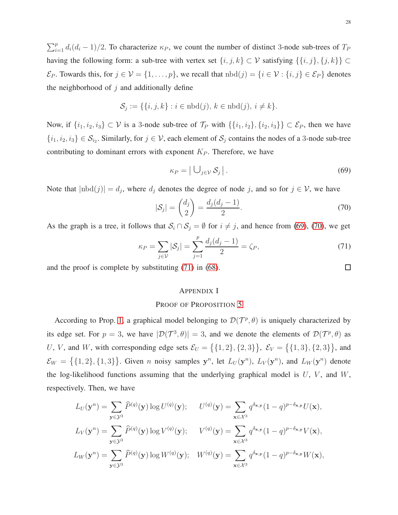$\sum_{i=1}^{p} d_i (d_i - 1)/2$ . To characterize  $\kappa_P$ , we count the number of distinct 3-node sub-trees of  $T_P$ having the following form: a sub-tree with vertex set  $\{i, j, k\} \subset \mathcal{V}$  satisfying  $\{\{i, j\}, \{j, k\}\} \subset$  $\mathcal{E}_P$ . Towards this, for  $j \in \mathcal{V} = \{1, \ldots, p\}$ , we recall that  $nbd(j) = \{i \in \mathcal{V} : \{i, j\} \in \mathcal{E}_P\}$  denotes the neighborhood of  $j$  and additionally define

$$
\mathcal{S}_j := \{ \{i, j, k\} : i \in \text{nbd}(j), k \in \text{nbd}(j), i \neq k \}.
$$

Now, if  $\{i_1, i_2, i_3\} \subset V$  is a 3-node sub-tree of  $\mathcal{T}_P$  with  $\{\{i_1, i_2\}, \{i_2, i_3\}\} \subset \mathcal{E}_P$ , then we have  $\{i_1, i_2, i_3\} \in S_{i_2}$ . Similarly, for  $j \in V$ , each element of  $S_j$  contains the nodes of a 3-node sub-tree contributing to dominant errors with exponent  $K_P$ . Therefore, we have

<span id="page-27-1"></span>
$$
\kappa_P = \left| \bigcup_{j \in \mathcal{V}} \mathcal{S}_j \right|.
$$
\n(69)

Note that  $|\text{nbd}(j)| = d_j$ , where  $d_j$  denotes the degree of node j, and so for  $j \in \mathcal{V}$ , we have

<span id="page-27-2"></span>
$$
|\mathcal{S}_j| = \binom{d_j}{2} = \frac{d_j(d_j - 1)}{2}.\tag{70}
$$

As the graph is a tree, it follows that  $S_i \cap S_j = \emptyset$  for  $i \neq j$ , and hence from [\(69\)](#page-27-1), [\(70\)](#page-27-2), we get

<span id="page-27-3"></span>
$$
\kappa_P = \sum_{j \in V} |\mathcal{S}_j| = \sum_{j=1}^p \frac{d_j(d_j - 1)}{2} = \zeta_P,
$$
\n(71)

and the proof is complete by substituting [\(71\)](#page-27-3) in [\(68\)](#page-26-7).

## <span id="page-27-0"></span>APPENDIX I

#### PROOF OF PROPOSITION [5](#page-12-3)

According to Prop. [1,](#page-4-1) a graphical model belonging to  $\mathcal{D}(\mathcal{T}^p, \theta)$  is uniquely characterized by its edge set. For  $p = 3$ , we have  $|\mathcal{D}(\mathcal{T}^3, \theta)| = 3$ , and we denote the elements of  $\mathcal{D}(\mathcal{T}^p, \theta)$  as U, V, and W, with corresponding edge sets  $\mathcal{E}_U = \{ \{1, 2\}, \{2, 3\} \}, \ \mathcal{E}_V = \{ \{1, 3\}, \{2, 3\} \},$  and  $\mathcal{E}_W = \{ \{1,2\}, \{1,3\} \}$ . Given *n* noisy samples  $y^n$ , let  $L_U(y^n)$ ,  $L_V(y^n)$ , and  $L_W(y^n)$  denote the log-likelihood functions assuming that the underlying graphical model is  $U$ ,  $V$ , and  $W$ , respectively. Then, we have

$$
L_U(\mathbf{y}^n) = \sum_{\mathbf{y} \in \mathcal{Y}^3} \widehat{P}^{(q)}(\mathbf{y}) \log U^{(q)}(\mathbf{y}); \qquad U^{(q)}(\mathbf{y}) = \sum_{\mathbf{x} \in \mathcal{X}^3} q^{\delta_{\mathbf{x},\mathbf{y}}} (1-q)^{p-\delta_{\mathbf{x},\mathbf{y}}} U(\mathbf{x}),
$$
  
\n
$$
L_V(\mathbf{y}^n) = \sum_{\mathbf{y} \in \mathcal{Y}^3} \widehat{P}^{(q)}(\mathbf{y}) \log V^{(q)}(\mathbf{y}); \qquad V^{(q)}(\mathbf{y}) = \sum_{\mathbf{x} \in \mathcal{X}^3} q^{\delta_{\mathbf{x},\mathbf{y}}} (1-q)^{p-\delta_{\mathbf{x},\mathbf{y}}} V(\mathbf{x}),
$$
  
\n
$$
L_W(\mathbf{y}^n) = \sum_{\mathbf{y} \in \mathcal{Y}^3} \widehat{P}^{(q)}(\mathbf{y}) \log W^{(q)}(\mathbf{y}); \quad W^{(q)}(\mathbf{y}) = \sum_{\mathbf{x} \in \mathcal{X}^3} q^{\delta_{\mathbf{x},\mathbf{y}}} (1-q)^{p-\delta_{\mathbf{x},\mathbf{y}}} W(\mathbf{x}),
$$

 $\Box$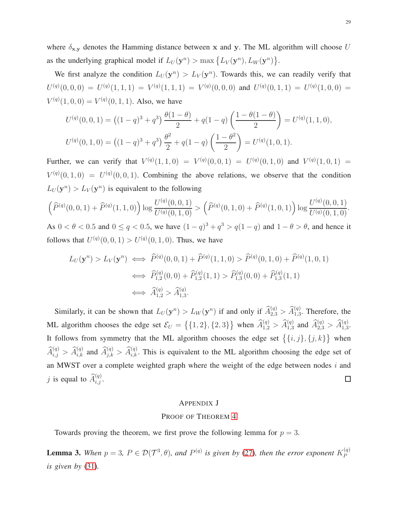where  $\delta_{x,y}$  denotes the Hamming distance between x and y. The ML algorithm will choose U as the underlying graphical model if  $L_U(\mathbf{y}^n) > \max\{L_V(\mathbf{y}^n), L_W(\mathbf{y}^n)\}.$ 

We first analyze the condition  $L_U(\mathbf{y}^n) > L_V(\mathbf{y}^n)$ . Towards this, we can readily verify that  $U^{(q)}(0,0,0) \,=\, U^{(q)}(1,1,1) \,=\, V^{(q)}(1,1,1) \,=\, V^{(q)}(0,0,0) \, \text{ and } \, U^{(q)}(0,1,1) \,=\, U^{(q)}(1,0,0) \,=\,$  $V^{(q)}(1,0,0) = V^{(q)}(0,1,1)$ . Also, we have

$$
U^{(q)}(0,0,1) = ((1-q)^3 + q^3) \frac{\theta(1-\theta)}{2} + q(1-q) \left(\frac{1-\theta(1-\theta)}{2}\right) = U^{(q)}(1,1,0),
$$
  

$$
U^{(q)}(0,1,0) = ((1-q)^3 + q^3) \frac{\theta^2}{2} + q(1-q) \left(\frac{1-\theta^2}{2}\right) = U^{(q)}(1,0,1).
$$

Further, we can verify that  $V^{(q)}(1,1,0) = V^{(q)}(0,0,1) = U^{(q)}(0,1,0)$  and  $V^{(q)}(1,0,1) =$  $V^{(q)}(0,1,0) = U^{(q)}(0,0,1)$ . Combining the above relations, we observe that the condition  $L_U(\mathbf{y}^n) > L_V(\mathbf{y}^n)$  is equivalent to the following

$$
\left(\widehat{P}^{(q)}(0,0,1)+\widehat{P}^{(q)}(1,1,0)\right)\log\frac{U^{(q)}(0,0,1)}{U^{(q)}(0,1,0)}>\left(\widehat{P}^{(q)}(0,1,0)+\widehat{P}^{(q)}(1,0,1)\right)\log\frac{U^{(q)}(0,0,1)}{U^{(q)}(0,1,0)}.
$$

As  $0 < \theta < 0.5$  and  $0 \le q < 0.5$ , we have  $(1 - q)^3 + q^3 > q(1 - q)$  and  $1 - \theta > \theta$ , and hence it follows that  $U^{(q)}(0,0,1) > U^{(q)}(0,1,0)$ . Thus, we have

$$
L_U(\mathbf{y}^n) > L_V(\mathbf{y}^n) \iff \widehat{P}^{(q)}(0,0,1) + \widehat{P}^{(q)}(1,1,0) > \widehat{P}^{(q)}(0,1,0) + \widehat{P}^{(q)}(1,0,1)
$$
  

$$
\iff \widehat{P}^{(q)}_{1,2}(0,0) + \widehat{P}^{(q)}_{1,2}(1,1) > \widehat{P}^{(q)}_{1,3}(0,0) + \widehat{P}^{(q)}_{1,3}(1,1)
$$
  

$$
\iff \widehat{A}^{(q)}_{1,2} > \widehat{A}^{(q)}_{1,3}.
$$

Similarly, it can be shown that  $L_U(\mathbf{y}^n) > L_W(\mathbf{y}^n)$  if and only if  $\widehat{A}_{2,3}^{(q)} > \widehat{A}_{1,3}^{(q)}$ . Therefore, the ML algorithm chooses the edge set  $\mathcal{E}_U = \left\{ \{1, 2\}, \{2, 3\} \right\}$  when  $\widehat{A}_{1,2}^{(q)} > \widehat{A}_{1,3}^{(q)}$  and  $\widehat{A}_{2,3}^{(q)} > \widehat{A}_{1,3}^{(q)}$ . It follows from symmetry that the ML algorithm chooses the edge set  $\{\{i, j\}, \{j, k\}\}\$  when  $\hat{A}_{i,j}^{(q)} > \hat{A}_{i,k}^{(q)}$  and  $\hat{A}_{j,k}^{(q)} > \hat{A}_{i,k}^{(q)}$ . This is equivalent to the ML algorithm choosing the edge set of an MWST over a complete weighted graph where the weight of the edge between nodes  $i$  and j is equal to  $\widehat{A}_{i,j}^{(q)}$ .  $\Box$ 

#### <span id="page-28-0"></span>APPENDIX J

#### PROOF OF THEOREM [4](#page-12-1)

Towards proving the theorem, we first prove the following lemma for  $p = 3$ .

<span id="page-28-1"></span>**Lemma 3.** When  $p = 3$ ,  $P \in \mathcal{D}(\mathcal{T}^3, \theta)$ , and  $P^{(q)}$  is given by [\(27\)](#page-11-1), then the error exponent  $K_P^{(q)}$ P *is given by* [\(31\)](#page-12-2)*.*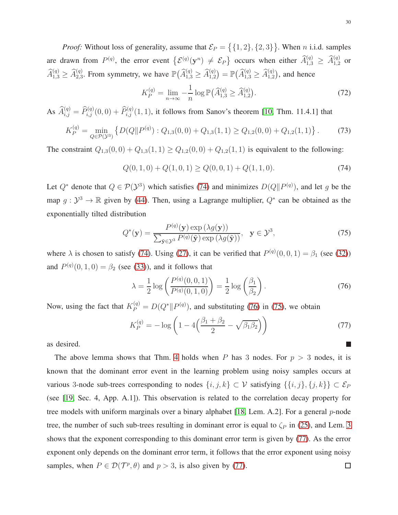*Proof:* Without loss of generality, assume that  $\mathcal{E}_P = \{ \{1, 2\}, \{2, 3\} \}$ . When *n* i.i.d. samples are drawn from  $P^{(q)}$ , the error event  $\{\mathcal{E}^{(q)}(\mathbf{y}^n) \neq \mathcal{E}_P\}$  occurs when either  $\widehat{A}^{(q)}_{1,3} \geq \widehat{A}^{(q)}_{1,2}$  or  $\widehat{A}_{1,3}^{(q)} \ge \widehat{A}_{2,3}^{(q)}$ . From symmetry, we have  $\mathbb{P}(\widehat{A}_{1,3}^{(q)} \ge \widehat{A}_{1,2}^{(q)}) = \mathbb{P}(\widehat{A}_{1,3}^{(q)} \ge \widehat{A}_{1,2}^{(q)})$ , and hence

$$
K_P^{(q)} = \lim_{n \to \infty} -\frac{1}{n} \log \mathbb{P}(\widehat{A}_{1,3}^{(q)} \ge \widehat{A}_{1,2}^{(q)}).
$$
 (72)

As  $\widehat{A}_{i,j}^{(q)} = \widehat{P}_{i,j}^{(q)}(0,0) + \widehat{P}_{i,j}^{(q)}(1,1)$ , it follows from Sanov's theorem [\[10,](#page-33-9) Thm. 11.4.1] that

$$
K_P^{(q)} = \min_{Q \in \mathcal{P}(\mathcal{Y}^3)} \left\{ D(Q||P^{(q)}) : Q_{1,3}(0,0) + Q_{1,3}(1,1) \ge Q_{1,2}(0,0) + Q_{1,2}(1,1) \right\}.
$$
 (73)

The constraint  $Q_{1,3}(0,0) + Q_{1,3}(1,1) \ge Q_{1,2}(0,0) + Q_{1,2}(1,1)$  is equivalent to the following:

<span id="page-29-0"></span>
$$
Q(0,1,0) + Q(1,0,1) \ge Q(0,0,1) + Q(1,1,0). \tag{74}
$$

Let  $Q^*$  denote that  $Q \in \mathcal{P}(\mathcal{Y}^3)$  which satisfies [\(74\)](#page-29-0) and minimizes  $D(Q||P^{(q)})$ , and let g be the map  $g: \mathcal{Y}^3 \to \mathbb{R}$  given by [\(44\)](#page-20-6). Then, using a Lagrange multiplier,  $Q^*$  can be obtained as the exponentially tilted distribution

<span id="page-29-2"></span>
$$
Q^*(\mathbf{y}) = \frac{P^{(q)}(\mathbf{y}) \exp(\lambda g(\mathbf{y}))}{\sum_{\tilde{\mathbf{y}} \in \mathcal{Y}^3} P^{(q)}(\tilde{\mathbf{y}}) \exp(\lambda g(\tilde{\mathbf{y}}))}, \quad \mathbf{y} \in \mathcal{Y}^3,
$$
\n(75)

where  $\lambda$  is chosen to satisfy [\(74\)](#page-29-0). Using [\(27\)](#page-11-1), it can be verified that  $P^{(q)}(0,0,1) = \beta_1$  (see [\(32\)](#page-12-4)) and  $P^{(q)}(0, 1, 0) = \beta_2$  (see [\(33\)](#page-12-5)), and it follows that

<span id="page-29-1"></span>
$$
\lambda = \frac{1}{2} \log \left( \frac{P^{(q)}(0,0,1)}{P^{(q)}(0,1,0)} \right) = \frac{1}{2} \log \left( \frac{\beta_1}{\beta_2} \right).
$$
 (76)

Now, using the fact that  $K_P^{(q)} = D(Q^* || P^{(q)})$ , and substituting [\(76\)](#page-29-1) in [\(75\)](#page-29-2), we obtain

<span id="page-29-3"></span>
$$
K_P^{(q)} = -\log\left(1 - 4\left(\frac{\beta_1 + \beta_2}{2} - \sqrt{\beta_1 \beta_2}\right)\right)
$$
 (77)

as desired.

The above lemma shows that Thm. [4](#page-12-1) holds when P has 3 nodes. For  $p > 3$  nodes, it is known that the dominant error event in the learning problem using noisy samples occurs at various 3-node sub-trees corresponding to nodes  $\{i, j, k\} \subset \mathcal{V}$  satisfying  $\{\{i, j\}, \{j, k\}\} \subset \mathcal{E}_P$ (see [\[19,](#page-34-7) Sec. 4, App. A.1]). This observation is related to the correlation decay property for tree models with uniform marginals over a binary alphabet [\[18,](#page-34-11) Lem. A.2]. For a general  $p$ -node tree, the number of such sub-trees resulting in dominant error is equal to  $\zeta_P$  in [\(25\)](#page-10-3), and Lem. [3](#page-28-1) shows that the exponent corresponding to this dominant error term is given by [\(77\)](#page-29-3). As the error exponent only depends on the dominant error term, it follows that the error exponent using noisy samples, when  $P \in \mathcal{D}(\mathcal{T}^p, \theta)$  and  $p > 3$ , is also given by [\(77\)](#page-29-3).  $\Box$ 

ш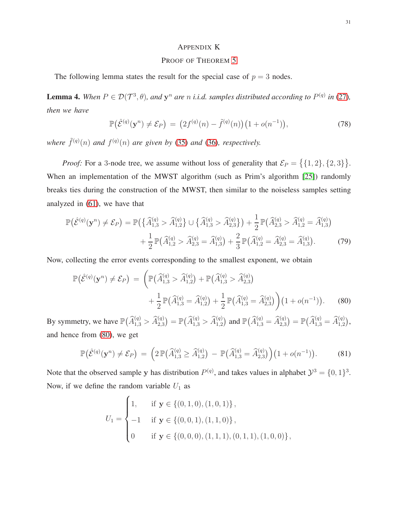# <span id="page-30-0"></span>APPENDIX K

## PROOF OF THEOREM [5](#page-13-0)

The following lemma states the result for the special case of  $p = 3$  nodes.

**Lemma 4.** When  $P \in \mathcal{D}(\mathcal{T}^3, \theta)$ , and  $\mathbf{y}^n$  are n *i.i.d.* samples distributed according to  $P^{(q)}$  in [\(27\)](#page-11-1), *then we have*

<span id="page-30-2"></span>
$$
\mathbb{P}(\hat{\mathcal{E}}^{(q)}(\mathbf{y}^n) \neq \mathcal{E}_P) = (2f^{(q)}(n) - \tilde{f}^{(q)}(n))(1 + o(n^{-1})), \tag{78}
$$

where  $\tilde{f}^{(q)}(n)$  and  $f^{(q)}(n)$  are given by [\(35\)](#page-13-2) and [\(36\)](#page-13-3), respectively.

*Proof:* For a 3-node tree, we assume without loss of generality that  $\mathcal{E}_P = \{ \{1, 2\}, \{2, 3\} \}.$ When an implementation of the MWST algorithm (such as Prim's algorithm [\[25\]](#page-34-14)) randomly breaks ties during the construction of the MWST, then similar to the noiseless samples setting analyzed in [\(61\)](#page-25-3), we have that

$$
\mathbb{P}(\hat{\mathcal{E}}^{(q)}(\mathbf{y}^n) \neq \mathcal{E}_P) = \mathbb{P}(\{\widehat{A}_{1,3}^{(q)} > \widehat{A}_{1,2}^{(q)}\} \cup \{\widehat{A}_{1,3}^{(q)} > \widehat{A}_{2,3}^{(q)}\}) + \frac{1}{2} \mathbb{P}(\widehat{A}_{2,3}^{(q)} > \widehat{A}_{1,2}^{(q)} = \widehat{A}_{1,3}^{(q)}) + \frac{1}{2} \mathbb{P}(\widehat{A}_{1,2}^{(q)} > \widehat{A}_{2,3}^{(q)} = \widehat{A}_{1,3}^{(q)}) + \frac{2}{3} \mathbb{P}(\widehat{A}_{1,2}^{(q)} = \widehat{A}_{2,3}^{(q)} = \widehat{A}_{1,3}^{(q)}).
$$
\n(79)

Now, collecting the error events corresponding to the smallest exponent, we obtain

$$
\mathbb{P}(\hat{\mathcal{E}}^{(q)}(\mathbf{y}^n) \neq \mathcal{E}_P) = \left( \mathbb{P}(\hat{A}_{1,3}^{(q)} > \hat{A}_{1,2}^{(q)}) + \mathbb{P}(\hat{A}_{1,3}^{(q)} > \hat{A}_{2,3}^{(q)}) + \frac{1}{2} \mathbb{P}(\hat{A}_{1,3}^{(q)} = \hat{A}_{1,2}^{(q)}) + \frac{1}{2} \mathbb{P}(\hat{A}_{1,3}^{(q)} = \hat{A}_{2,3}^{(q)}) \right) (1 + o(n^{-1})).
$$
\n(80)

By symmetry, we have  $\mathbb{P}(\widehat{A}_{1,3}^{(q)} > \widehat{A}_{2,3}^{(q)}) = \mathbb{P}(\widehat{A}_{1,3}^{(q)} > \widehat{A}_{1,2}^{(q)})$  and  $\mathbb{P}(\widehat{A}_{1,3}^{(q)} = \widehat{A}_{2,3}^{(q)}) = \mathbb{P}(\widehat{A}_{1,3}^{(q)} = \widehat{A}_{1,2}^{(q)})$ , and hence from [\(80\)](#page-30-1), we get

<span id="page-30-3"></span>
$$
\mathbb{P}(\hat{\mathcal{E}}^{(q)}(\mathbf{y}^n) \neq \mathcal{E}_P) = \left(2\mathbb{P}(\widehat{A}_{1,3}^{(q)} \geq \widehat{A}_{1,2}^{(q)}) - \mathbb{P}(\widehat{A}_{1,3}^{(q)} = \widehat{A}_{2,3}^{(q)})\right)\left(1 + o(n^{-1})\right). \tag{81}
$$

Note that the observed sample y has distribution  $P^{(q)}$ , and takes values in alphabet  $\mathcal{Y}^3 = \{0, 1\}^3$ . Now, if we define the random variable  $U_1$  as

<span id="page-30-1"></span>
$$
U_1 = \begin{cases} 1, & \text{if } \mathbf{y} \in \{ (0,1,0), (1,0,1) \}, \\ -1 & \text{if } \mathbf{y} \in \{ (0,0,1), (1,1,0) \}, \\ 0 & \text{if } \mathbf{y} \in \{ (0,0,0), (1,1,1), (0,1,1), (1,0,0) \}, \end{cases}
$$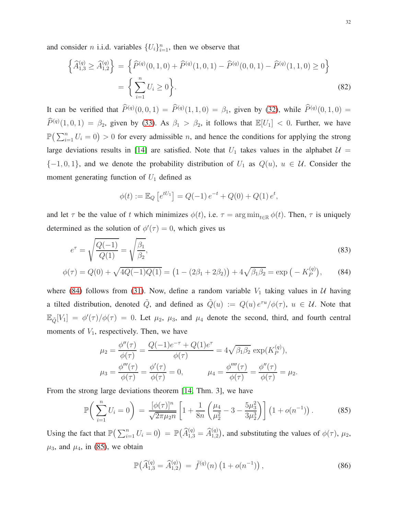and consider *n* i.i.d. variables  $\{U_i\}_{i=1}^n$ , then we observe that

$$
\left\{\widehat{A}_{1,3}^{(q)} \ge \widehat{A}_{1,2}^{(q)}\right\} = \left\{\widehat{P}^{(q)}(0,1,0) + \widehat{P}^{(q)}(1,0,1) - \widehat{P}^{(q)}(0,0,1) - \widehat{P}^{(q)}(1,1,0) \ge 0\right\}
$$

$$
= \left\{\sum_{i=1}^{n} U_i \ge 0\right\}.
$$
(82)

It can be verified that  $\hat{P}^{(q)}(0,0,1) = \hat{P}^{(q)}(1,1,0) = \beta_1$ , given by [\(32\)](#page-12-4), while  $\hat{P}^{(q)}(0,1,0) =$  $\widehat{P}^{(q)}(1,0,1) = \beta_2$ , given by [\(33\)](#page-12-5). As  $\beta_1 > \beta_2$ , it follows that  $\mathbb{E}[U_1] < 0$ . Further, we have  $\mathbb{P}\left(\sum_{i=1}^n U_i = 0\right) > 0$  for every admissible *n*, and hence the conditions for applying the strong large deviations results in [\[14\]](#page-34-3) are satisfied. Note that  $U_1$  takes values in the alphabet  $\mathcal{U} =$  ${-1, 0, 1}$ , and we denote the probability distribution of  $U_1$  as  $Q(u)$ ,  $u \in U$ . Consider the moment generating function of  $U_1$  defined as

<span id="page-31-2"></span><span id="page-31-0"></span>
$$
\phi(t) := \mathbb{E}_Q \left[ e^{tU_1} \right] = Q(-1) e^{-t} + Q(0) + Q(1) e^t,
$$

and let  $\tau$  be the value of t which minimizes  $\phi(t)$ , i.e.  $\tau = \arg \min_{t \in \mathbb{R}} \phi(t)$ . Then,  $\tau$  is uniquely determined as the solution of  $\phi'(\tau) = 0$ , which gives us

$$
e^{\tau} = \sqrt{\frac{Q(-1)}{Q(1)}} = \sqrt{\frac{\beta_1}{\beta_2}},
$$
\n
$$
Q(0) = \sqrt{\frac{AQ(-1)Q(1)}{Q(1)}} \quad (1 \quad (2\beta + 2\beta)) + 4\sqrt{\beta_2} \quad \text{and} \quad V^{(q)}(0.4)
$$

$$
\phi(\tau) = Q(0) + \sqrt{4Q(-1)Q(1)} = (1 - (2\beta_1 + 2\beta_2)) + 4\sqrt{\beta_1\beta_2} = \exp(-K_P^{(q)}),
$$
 (84)

where [\(84\)](#page-31-0) follows from [\(31\)](#page-12-2). Now, define a random variable  $V_1$  taking values in U having a tilted distribution, denoted  $\tilde{Q}$ , and defined as  $\tilde{Q}(u) := Q(u) e^{\tau u}/\phi(\tau)$ ,  $u \in \mathcal{U}$ . Note that  $\mathbb{E}_{\tilde{Q}}[V_1] = \phi'(\tau)/\phi(\tau) = 0$ . Let  $\mu_2$ ,  $\mu_3$ , and  $\mu_4$  denote the second, third, and fourth central moments of  $V_1$ , respectively. Then, we have

$$
\mu_2 = \frac{\phi''(\tau)}{\phi(\tau)} = \frac{Q(-1)e^{-\tau} + Q(1)e^{\tau}}{\phi(\tau)} = 4\sqrt{\beta_1\beta_2} \exp(K_P^{(q)}), \n\mu_3 = \frac{\phi'''(\tau)}{\phi(\tau)} = \frac{\phi'(\tau)}{\phi(\tau)} = 0, \qquad \mu_4 = \frac{\phi''''(\tau)}{\phi(\tau)} = \frac{\phi''(\tau)}{\phi(\tau)} = \mu_2.
$$

From the strong large deviations theorem [\[14,](#page-34-3) Thm. 3], we have

<span id="page-31-1"></span>
$$
\mathbb{P}\bigg(\sum_{i=1}^{n} U_i = 0\bigg) = \frac{[\phi(\tau)]^n}{\sqrt{2\pi\mu_2 n}} \left[1 + \frac{1}{8n} \left(\frac{\mu_4}{\mu_2^2} - 3 - \frac{5\mu_3^2}{3\mu_2^3}\right)\right] \left(1 + o(n^{-1})\right). \tag{85}
$$

Using the fact that  $\mathbb{P}\left(\sum_{i=1}^n U_i = 0\right) = \mathbb{P}\left(\widehat{A}_{1,3}^{(q)} = \widehat{A}_{1,2}^{(q)}\right)$ , and substituting the values of  $\phi(\tau)$ ,  $\mu_2$ ,  $\mu_3$ , and  $\mu_4$ , in [\(85\)](#page-31-1), we obtain

<span id="page-31-3"></span>
$$
\mathbb{P}\big(\widehat{A}_{1,3}^{(q)} = \widehat{A}_{1,2}^{(q)}\big) = \tilde{f}^{(q)}(n) \left(1 + o(n^{-1})\right),\tag{86}
$$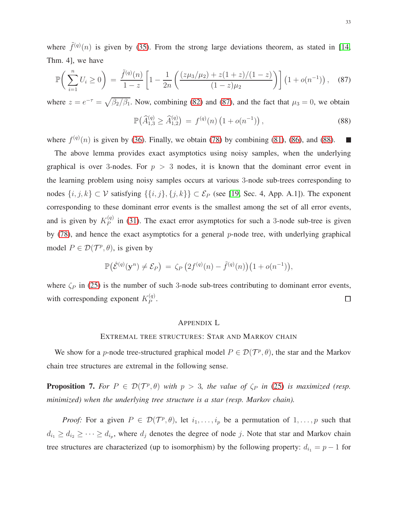where  $\tilde{f}^{(q)}(n)$  is given by [\(35\)](#page-13-2). From the strong large deviations theorem, as stated in [\[14,](#page-34-3) Thm. 4], we have

<span id="page-32-1"></span>
$$
\mathbb{P}\bigg(\sum_{i=1}^n U_i \ge 0\bigg) = \frac{\tilde{f}^{(q)}(n)}{1-z} \left[1 - \frac{1}{2n} \left(\frac{(z\mu_3/\mu_2) + z(1+z)/(1-z)}{(1-z)\mu_2}\right)\right] \left(1 + o(n^{-1})\right), \quad (87)
$$

where  $z = e^{-\tau} = \sqrt{\beta_2/\beta_1}$ . Now, combining [\(82\)](#page-31-2) and [\(87\)](#page-32-1), and the fact that  $\mu_3 = 0$ , we obtain

<span id="page-32-2"></span>
$$
\mathbb{P}\big(\widehat{A}_{1,3}^{(q)} \ge \widehat{A}_{1,2}^{(q)}\big) \,=\, f^{(q)}(n) \left(1 + o(n^{-1})\right),\tag{88}
$$

where  $f^{(q)}(n)$  is given by [\(36\)](#page-13-3). Finally, we obtain [\(78\)](#page-30-2) by combining [\(81\)](#page-30-3), [\(86\)](#page-31-3), and [\(88\)](#page-32-2). П

The above lemma provides exact asymptotics using noisy samples, when the underlying graphical is over 3-nodes. For  $p > 3$  nodes, it is known that the dominant error event in the learning problem using noisy samples occurs at various 3-node sub-trees corresponding to nodes  $\{i, j, k\} \subset V$  satisfying  $\{\{i, j\}, \{j, k\}\} \subset \mathcal{E}_P$  (see [\[19,](#page-34-7) Sec. 4, App. A.1]). The exponent corresponding to these dominant error events is the smallest among the set of all error events, and is given by  $K_P^{(q)}$  $P_P^{(q)}$  in [\(31\)](#page-12-2). The exact error asymptotics for such a 3-node sub-tree is given by  $(78)$ , and hence the exact asymptotics for a general p-node tree, with underlying graphical model  $P \in \mathcal{D}(\mathcal{T}^p, \theta)$ , is given by

$$
\mathbb{P}(\hat{\mathcal{E}}^{(q)}(\mathbf{y}^n) \neq \mathcal{E}_P) = \zeta_P\left(2f^{(q)}(n) - \tilde{f}^{(q)}(n)\right)\left(1 + o(n^{-1})\right),
$$

where  $\zeta_P$  in [\(25\)](#page-10-3) is the number of such 3-node sub-trees contributing to dominant error events, with corresponding exponent  $K_P^{(q)}$  $\stackrel{(q)}{P}$ . □

#### <span id="page-32-0"></span>APPENDIX L

#### EXTREMAL TREE STRUCTURES: STAR AND MARKOV CHAIN

We show for a *p*-node tree-structured graphical model  $P \in \mathcal{D}(\mathcal{T}^p, \theta)$ , the star and the Markov chain tree structures are extremal in the following sense.

<span id="page-32-3"></span>**Proposition 7.** For  $P \in \mathcal{D}(\mathcal{T}^p, \theta)$  with  $p > 3$ , the value of  $\zeta_P$  in [\(25\)](#page-10-3) is maximized (resp. *minimized) when the underlying tree structure is a star (resp. Markov chain).*

*Proof:* For a given  $P \in \mathcal{D}(\mathcal{T}^p, \theta)$ , let  $i_1, \ldots, i_p$  be a permutation of  $1, \ldots, p$  such that  $d_{i_1} \geq d_{i_2} \geq \cdots \geq d_{i_p}$ , where  $d_j$  denotes the degree of node j. Note that star and Markov chain tree structures are characterized (up to isomorphism) by the following property:  $d_{i_1} = p - 1$  for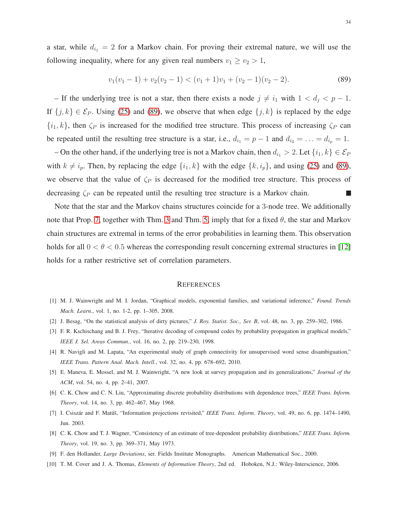a star, while  $d_{i_1} = 2$  for a Markov chain. For proving their extremal nature, we will use the following inequality, where for any given real numbers  $v_1 \ge v_2 > 1$ ,

<span id="page-33-10"></span>
$$
v_1(v_1 - 1) + v_2(v_2 - 1) < (v_1 + 1)v_1 + (v_2 - 1)(v_2 - 2). \tag{89}
$$

– If the underlying tree is not a star, then there exists a node  $j \neq i_1$  with  $1 < d_j < p-1$ . If  $\{j, k\} \in \mathcal{E}_P$ . Using [\(25\)](#page-10-3) and [\(89\)](#page-33-10), we observe that when edge  $\{j, k\}$  is replaced by the edge  $\{i_1, k\}$ , then  $\zeta_P$  is increased for the modified tree structure. This process of increasing  $\zeta_P$  can be repeated until the resulting tree structure is a star, i.e.,  $d_{i_1} = p - 1$  and  $d_{i_2} = \ldots = d_{i_p} = 1$ .

– On the other hand, if the underlying tree is not a Markov chain, then  $d_{i_1} > 2$ . Let  $\{i_1, k\} \in \mathcal{E}_P$ with  $k \neq i_p$ . Then, by replacing the edge  $\{i_1, k\}$  with the edge  $\{k, i_p\}$ , and using [\(25\)](#page-10-3) and [\(89\)](#page-33-10), we observe that the value of  $\zeta_P$  is decreased for the modified tree structure. This process of decreasing  $\zeta_P$  can be repeated until the resulting tree structure is a Markov chain. L

Note that the star and the Markov chains structures coincide for a 3-node tree. We additionally note that Prop. [7,](#page-32-3) together with Thm. [3](#page-10-2) and Thm. [5,](#page-13-0) imply that for a fixed  $\theta$ , the star and Markov chain structures are extremal in terms of the error probabilities in learning them. This observation holds for all  $0 < \theta < 0.5$  whereas the corresponding result concerning extremal structures in [\[12\]](#page-34-1) holds for a rather restrictive set of correlation parameters.

#### **REFERENCES**

- <span id="page-33-1"></span><span id="page-33-0"></span>[1] M. J. Wainwright and M. I. Jordan, "Graphical models, exponential families, and variational inference," *Found. Trends Mach. Learn.*, vol. 1, no. 1-2, pp. 1–305, 2008.
- <span id="page-33-2"></span>[2] J. Besag, "On the statistical analysis of dirty pictures," *J. Roy. Statist. Soc., Ser. B*, vol. 48, no. 3, pp. 259–302, 1986.
- <span id="page-33-3"></span>[3] F. R. Kschischang and B. J. Frey, "Iterative decoding of compound codes by probability propagation in graphical models," *IEEE J. Sel. Areas Commun.*, vol. 16, no. 2, pp. 219–230, 1998.
- <span id="page-33-4"></span>[4] R. Navigli and M. Lapata, "An experimental study of graph connectivity for unsupervised word sense disambiguation," *IEEE Trans. Pattern Anal. Mach. Intell.*, vol. 32, no. 4, pp. 678–692, 2010.
- <span id="page-33-5"></span>[5] E. Maneva, E. Mossel, and M. J. Wainwright, "A new look at survey propagation and its generalizations," *Journal of the ACM*, vol. 54, no. 4, pp. 2–41, 2007.
- <span id="page-33-6"></span>[6] C. K. Chow and C. N. Liu, "Approximating discrete probability distributions with dependence trees," *IEEE Trans. Inform. Theory*, vol. 14, no. 3, pp. 462–467, May 1968.
- <span id="page-33-7"></span>[7] I. Csiszár and F. Matúš, "Information projections revisited," IEEE Trans. Inform. Theory, vol. 49, no. 6, pp. 1474–1490, Jun. 2003.
- <span id="page-33-8"></span>[8] C. K. Chow and T. J. Wagner, "Consistency of an estimate of tree-dependent probability distributions," *IEEE Trans. Inform. Theory*, vol. 19, no. 3, pp. 369–371, May 1973.
- <span id="page-33-9"></span>[9] F. den Hollander, *Large Deviations*, ser. Fields Institute Monographs. American Mathematical Soc., 2000.
- [10] T. M. Cover and J. A. Thomas, *Elements of Information Theory*, 2nd ed. Hoboken, N.J.: Wiley-Interscience, 2006.